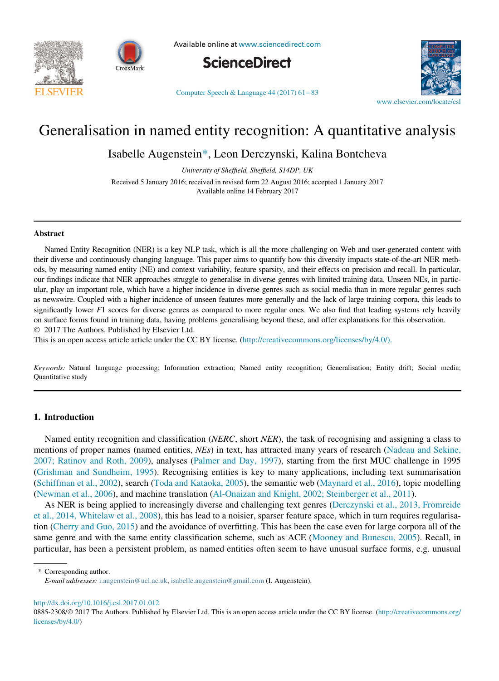



Available online at [www.sciencedirect.com](http://www.sciencedirect.com)



Computer Speech & Language  $44(2017)$   $61-83$ 



# Generalisation in named entity recognition: A quantitative analysis

Isabelle Augenstein\*, Leon Derczynski, Kalina Bontcheva

University of Sheffield, Sheffield, S14DP, UK

Received 5 January 2016; received in revised form 22 August 2016; accepted 1 January 2017 Available online 14 February 2017

#### Abstract

Named Entity Recognition (NER) is a key NLP task, which is all the more challenging on Web and user-generated content with their diverse and continuously changing language. This paper aims to quantify how this diversity impacts state-of-the-art NER methods, by measuring named entity (NE) and context variability, feature sparsity, and their effects on precision and recall. In particular, our findings indicate that NER approaches struggle to generalise in diverse genres with limited training data. Unseen NEs, in particular, play an important role, which have a higher incidence in diverse genres such as social media than in more regular genres such as newswire. Coupled with a higher incidence of unseen features more generally and the lack of large training corpora, this leads to significantly lower F1 scores for diverse genres as compared to more regular ones. We also find that leading systems rely heavily on surface forms found in training data, having problems generalising beyond these, and offer explanations for this observation. 2017 The Authors. Published by Elsevier Ltd.

This is an open access article article under the CC BY license. ([http://creativecommons.org/licenses/by/4.0/\).](http://creativecommons.org/licenses/by/4.0/)

Keywords: Natural language processing; Information extraction; Named entity recognition; Generalisation; Entity drift; Social media; Quantitative study

#### 1. Introduction

Named entity recognition and classification (NERC, short NER), the task of recognising and assigning a class to mentions of proper names (named entities, NEs) in text, has attracted many years of research [\(Nadeau and Sekine,](#page-22-0) [2007; Ratinov and Roth, 2009](#page-22-0)), analyses [\(Palmer and Day, 1997\)](#page-22-1), starting from the first MUC challenge in 1995 [\(Grishman and Sundheim, 1995\)](#page-21-0). Recognising entities is key to many applications, including text summarisation [\(Schiffman et al., 2002](#page-22-2)), search ([Toda and Kataoka, 2005\)](#page-22-3), the semantic web [\(Maynard et al., 2016\)](#page-21-1), topic modelling [\(Newman et al., 2006\)](#page-22-4), and machine translation [\(Al-Onaizan and Knight, 2002; Steinberger et al., 2011](#page-20-0)).

As NER is being applied to increasingly diverse and challenging text genres ([Derczynski et al., 2013, Fromreide](#page-21-2) [et al., 2014, Whitelaw et al., 2008](#page-21-2)), this has lead to a noisier, sparser feature space, which in turn requires regularisation [\(Cherry and Guo, 2015](#page-20-1)) and the avoidance of overfitting. This has been the case even for large corpora all of the same genre and with the same entity classification scheme, such as ACE ([Mooney and Bunescu, 2005\)](#page-21-3). Recall, in particular, has been a persistent problem, as named entities often seem to have unusual surface forms, e.g. unusual

\* Corresponding author.

E-mail addresses: [i.augenstein@ucl.ac.uk,](mailto:i.augenstein@ucl.ac.uk) [isabelle.augenstein@gmail.com](mailto:isabelle.augenstein@gmail.com) (I. Augenstein).

<http://dx.doi.org/10.1016/j.csl.2017.01.012>

<sup>0885-2308/© 2017</sup> The Authors. Published by Elsevier Ltd. This is an open access article under the CC BY license. ([http://creativecommons.org/](http://creativecommons.org/licenses/by/4.0/) [licenses/by/4.0/\)](http://creativecommons.org/licenses/by/4.0/)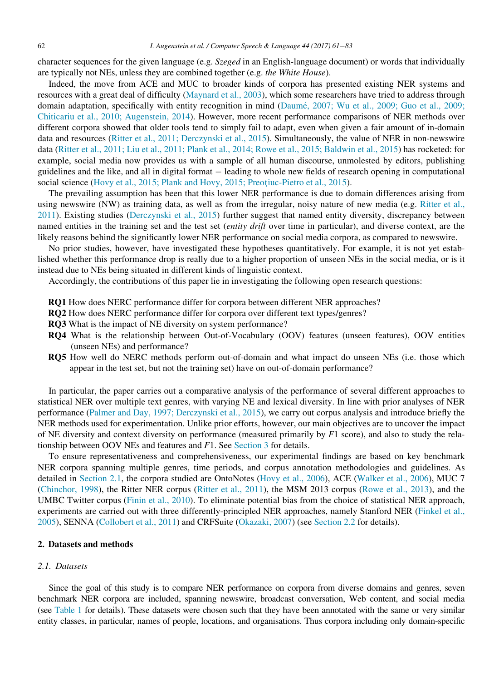character sequences for the given language (e.g. Szeged in an English-language document) or words that individually are typically not NEs, unless they are combined together (e.g. the White House).

Indeed, the move from ACE and MUC to broader kinds of corpora has presented existing NER systems and resources with a great deal of difficulty ([Maynard et al., 2003\)](#page-21-4), which some researchers have tried to address through domain adaptation, specifically with entity recognition in mind (Daumé, 2007; Wu et al., 2009; Guo et al., 2009; [Chiticariu et al., 2010; Augenstein, 2014\)](#page-21-5). However, more recent performance comparisons of NER methods over different corpora showed that older tools tend to simply fail to adapt, even when given a fair amount of in-domain data and resources ([Ritter et al., 2011; Derczynski et al., 2015](#page-22-5)). Simultaneously, the value of NER in non-newswire data ([Ritter et al., 2011; Liu et al., 2011; Plank et al., 2014; Rowe et al., 2015; Baldwin et al., 2015\)](#page-22-5) has rocketed: for example, social media now provides us with a sample of all human discourse, unmolested by editors, publishing guidelines and the like, and all in digital format – leading to whole new fields of research opening in computational social science [\(Hovy et al., 2015; Plank and Hovy, 2015; Preotiuc-Pietro et al., 2015](#page-21-6)).

The prevailing assumption has been that this lower NER performance is due to domain differences arising from using newswire (NW) as training data, as well as from the irregular, noisy nature of new media (e.g. [Ritter et al.,](#page-22-5) [2011](#page-22-5)). Existing studies [\(Derczynski et al., 2015\)](#page-21-7) further suggest that named entity diversity, discrepancy between named entities in the training set and the test set (entity drift over time in particular), and diverse context, are the likely reasons behind the significantly lower NER performance on social media corpora, as compared to newswire.

No prior studies, however, have investigated these hypotheses quantitatively. For example, it is not yet established whether this performance drop is really due to a higher proportion of unseen NEs in the social media, or is it instead due to NEs being situated in different kinds of linguistic context.

Accordingly, the contributions of this paper lie in investigating the following open research questions:

- RQ1 How does NERC performance differ for corpora between different NER approaches?
- RQ2 How does NERC performance differ for corpora over different text types/genres?
- RQ3 What is the impact of NE diversity on system performance?
- RQ4 What is the relationship between Out-of-Vocabulary (OOV) features (unseen features), OOV entities (unseen NEs) and performance?
- RQ5 How well do NERC methods perform out-of-domain and what impact do unseen NEs (i.e. those which appear in the test set, but not the training set) have on out-of-domain performance?

In particular, the paper carries out a comparative analysis of the performance of several different approaches to statistical NER over multiple text genres, with varying NE and lexical diversity. In line with prior analyses of NER performance ([Palmer and Day, 1997; Derczynski et al., 2015\)](#page-22-1), we carry out corpus analysis and introduce briefly the NER methods used for experimentation. Unlike prior efforts, however, our main objectives are to uncover the impact of NE diversity and context diversity on performance (measured primarily by  $F1$  score), and also to study the relationship between OOV NEs and features and F1. See [Section 3](#page-8-0) for details.

To ensure representativeness and comprehensiveness, our experimental findings are based on key benchmark NER corpora spanning multiple genres, time periods, and corpus annotation methodologies and guidelines. As detailed in [Section 2.1](#page-1-0), the corpora studied are OntoNotes ([Hovy et al., 2006\)](#page-21-8), ACE ([Walker et al., 2006\)](#page-22-6), MUC 7 ([Chinchor, 1998](#page-20-2)), the Ritter NER corpus [\(Ritter et al., 2011](#page-22-5)), the MSM 2013 corpus [\(Rowe et al., 2013](#page-22-7)), and the UMBC Twitter corpus [\(Finin et al., 2010](#page-21-9)). To eliminate potential bias from the choice of statistical NER approach, experiments are carried out with three differently-principled NER approaches, namely Stanford NER [\(Finkel et al.,](#page-21-10) [2005](#page-21-10)), SENNA [\(Collobert et al., 2011\)](#page-21-11) and CRFSuite [\(Okazaki, 2007\)](#page-22-8) (see [Section 2.2](#page-7-0) for details).

## 2. Datasets and methods

# <span id="page-1-0"></span>2.1. Datasets

Since the goal of this study is to compare NER performance on corpora from diverse domains and genres, seven benchmark NER corpora are included, spanning newswire, broadcast conversation, Web content, and social media (see [Table 1](#page-2-0) for details). These datasets were chosen such that they have been annotated with the same or very similar entity classes, in particular, names of people, locations, and organisations. Thus corpora including only domain-specific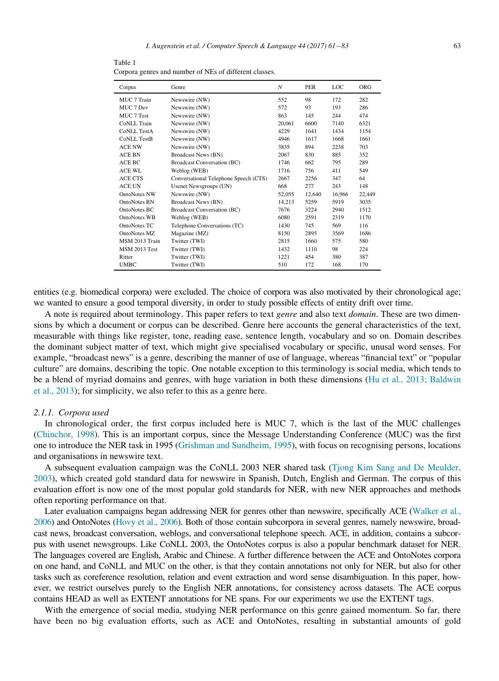<span id="page-2-0"></span>Table 1 Corpora genres and number of NEs of different classes.

| Corpus               | Genre                                 | N      | <b>PER</b> | LOC    | ORG    |
|----------------------|---------------------------------------|--------|------------|--------|--------|
| MUC 7 Train          | Newswire (NW)                         | 552    | 98         | 172    | 282    |
| MUC 7 Dev            | Newswire (NW)                         | 572    | 93         | 193    | 286    |
| MUC 7 Test           | Newswire (NW)                         | 863    | 145        | 244    | 474    |
| CoNLL Train          | Newswire (NW)                         | 20,061 | 6600       | 7140   | 6321   |
| <b>CoNLL TestA</b>   | Newswire (NW)                         | 4229   | 1641       | 1434   | 1154   |
| <b>CoNLL TestB</b>   | Newswire (NW)                         | 4946   | 1617       | 1668   | 1661   |
| ACE NW               | Newswire (NW)                         | 3835   | 894        | 2238   | 703    |
| ACE BN               | <b>Broadcast News (BN)</b>            | 2067   | 830        | 885    | 352    |
| ACE BC               | <b>Broadcast Conversation (BC)</b>    | 1746   | 662        | 795    | 289    |
| <b>ACE WL</b>        | Weblog (WEB)                          | 1716   | 756        | 411    | 549    |
| <b>ACE CTS</b>       | Conversational Telephone Speech (CTS) | 2667   | 2256       | 347    | 64     |
| <b>ACE UN</b>        | Usenet Newsgroups (UN)                | 668    | 277        | 243    | 148    |
| <b>OntoNotes NW</b>  | Newswire (NW)                         | 52,055 | 12,640     | 16,966 | 22,449 |
| OntoNotes BN         | <b>Broadcast News (BN)</b>            | 14,213 | 5259       | 5919   | 3035   |
| OntoNotes BC         | <b>Broadcast Conversation (BC)</b>    | 7676   | 3224       | 2940   | 1512   |
| <b>OntoNotes WB</b>  | Weblog (WEB)                          | 6080   | 2591       | 2319   | 1170   |
| OntoNotes TC         | Telephone Conversations (TC)          | 1430   | 745        | 569    | 116    |
| OntoNotes MZ         | Magazine (MZ)                         | 8150   | 2895       | 3569   | 1686   |
| MSM 2013 Train       | Twitter (TWI)                         | 2815   | 1660       | 575    | 580    |
| <b>MSM 2013 Test</b> | Twitter (TWI)                         | 1432   | 1110       | 98     | 224    |
| Ritter               | Twitter (TWI)                         | 1221   | 454        | 380    | 387    |
| UMBC                 | Twitter (TWI)                         | 510    | 172        | 168    | 170    |

entities (e.g. biomedical corpora) were excluded. The choice of corpora was also motivated by their chronological age; we wanted to ensure a good temporal diversity, in order to study possible effects of entity drift over time.

A note is required about terminology. This paper refers to text *genre* and also text *domain*. These are two dimensions by which a document or corpus can be described. Genre here accounts the general characteristics of the text, measurable with things like register, tone, reading ease, sentence length, vocabulary and so on. Domain describes the dominant subject matter of text, which might give specialised vocabulary or specific, unusal word senses. For example, "broadcast news" is a genre, describing the manner of use of language, whereas "financial text" or "popular culture" are domains, describing the topic. One notable exception to this terminology is social media, which tends to be a blend of myriad domains and genres, with huge variation in both these dimensions [\(Hu et al., 2013; Baldwin](#page-21-12) [et al., 2013](#page-21-12)); for simplicity, we also refer to this as a genre here.

## <span id="page-2-1"></span>2.1.1. Corpora used

In chronological order, the first corpus included here is MUC 7, which is the last of the MUC challenges [\(Chinchor, 1998](#page-20-2)). This is an important corpus, since the Message Understanding Conference (MUC) was the first one to introduce the NER task in 1995 ([Grishman and Sundheim, 1995](#page-21-0)), with focus on recognising persons, locations and organisations in newswire text.

A subsequent evaluation campaign was the CoNLL 2003 NER shared task [\(Tjong Kim Sang and De Meulder,](#page-22-9) [2003\)](#page-22-9), which created gold standard data for newswire in Spanish, Dutch, English and German. The corpus of this evaluation effort is now one of the most popular gold standards for NER, with new NER approaches and methods often reporting performance on that.

Later evaluation campaigns began addressing NER for genres other than newswire, specifically ACE [\(Walker et al.,](#page-22-6) [2006](#page-22-6)) and OntoNotes [\(Hovy et al., 2006](#page-21-8)). Both of those contain subcorpora in several genres, namely newswire, broadcast news, broadcast conversation, weblogs, and conversational telephone speech. ACE, in addition, contains a subcorpus with usenet newsgroups. Like CoNLL 2003, the OntoNotes corpus is also a popular benchmark dataset for NER. The languages covered are English, Arabic and Chinese. A further difference between the ACE and OntoNotes corpora on one hand, and CoNLL and MUC on the other, is that they contain annotations not only for NER, but also for other tasks such as coreference resolution, relation and event extraction and word sense disambiguation. In this paper, however, we restrict ourselves purely to the English NER annotations, for consistency across datasets. The ACE corpus contains HEAD as well as EXTENT annotations for NE spans. For our experiments we use the EXTENT tags.

With the emergence of social media, studying NER performance on this genre gained momentum. So far, there have been no big evaluation efforts, such as ACE and OntoNotes, resulting in substantial amounts of gold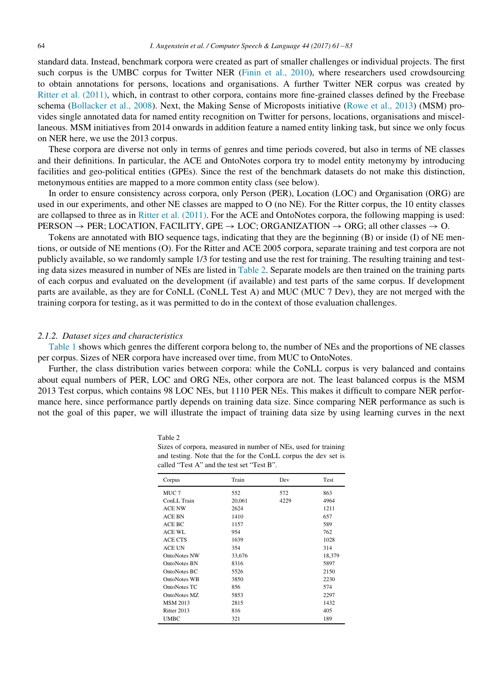standard data. Instead, benchmark corpora were created as part of smaller challenges or individual projects. The first such corpus is the UMBC corpus for Twitter NER ([Finin et al., 2010](#page-21-9)), where researchers used crowdsourcing to obtain annotations for persons, locations and organisations. A further Twitter NER corpus was created by [Ritter et al. \(2011\),](#page-22-5) which, in contrast to other corpora, contains more fine-grained classes defined by the Freebase schema ([Bollacker et al., 2008\)](#page-20-3). Next, the Making Sense of Microposts initiative ([Rowe et al., 2013](#page-22-7)) (MSM) provides single annotated data for named entity recognition on Twitter for persons, locations, organisations and miscellaneous. MSM initiatives from 2014 onwards in addition feature a named entity linking task, but since we only focus on NER here, we use the 2013 corpus.

These corpora are diverse not only in terms of genres and time periods covered, but also in terms of NE classes and their definitions. In particular, the ACE and OntoNotes corpora try to model entity metonymy by introducing facilities and geo-political entities (GPEs). Since the rest of the benchmark datasets do not make this distinction, metonymous entities are mapped to a more common entity class (see below).

In order to ensure consistency across corpora, only Person (PER), Location (LOC) and Organisation (ORG) are used in our experiments, and other NE classes are mapped to O (no NE). For the Ritter corpus, the 10 entity classes are collapsed to three as in [Ritter et al. \(2011\)](#page-22-5). For the ACE and OntoNotes corpora, the following mapping is used:  $PERSON \rightarrow PER$ ; LOCATION, FACILITY, GPE  $\rightarrow$  LOC; ORGANIZATION  $\rightarrow$  ORG; all other classes  $\rightarrow$  O.

Tokens are annotated with BIO sequence tags, indicating that they are the beginning (B) or inside (I) of NE mentions, or outside of NE mentions (O). For the Ritter and ACE 2005 corpora, separate training and test corpora are not publicly available, so we randomly sample 1/3 for testing and use the rest for training. The resulting training and testing data sizes measured in number of NEs are listed in [Table 2](#page-3-0). Separate models are then trained on the training parts of each corpus and evaluated on the development (if available) and test parts of the same corpus. If development parts are available, as they are for CoNLL (CoNLL Test A) and MUC (MUC 7 Dev), they are not merged with the training corpora for testing, as it was permitted to do in the context of those evaluation challenges.

## 2.1.2. Dataset sizes and characteristics

[Table 1](#page-2-0) shows which genres the different corpora belong to, the number of NEs and the proportions of NE classes per corpus. Sizes of NER corpora have increased over time, from MUC to OntoNotes.

<span id="page-3-0"></span>Further, the class distribution varies between corpora: while the CoNLL corpus is very balanced and contains about equal numbers of PER, LOC and ORG NEs, other corpora are not. The least balanced corpus is the MSM 2013 Test corpus, which contains 98 LOC NEs, but 1110 PER NEs. This makes it difficult to compare NER performance here, since performance partly depends on training data size. Since comparing NER performance as such is not the goal of this paper, we will illustrate the impact of training data size by using learning curves in the next

| $\sigma$ or corport, including in number of Fig. and for training<br>and testing. Note that the for the ConLL corpus the dev set is<br>called "Test A" and the test set "Test B". |        |      |      |  |  |  |  |  |  |  |  |
|-----------------------------------------------------------------------------------------------------------------------------------------------------------------------------------|--------|------|------|--|--|--|--|--|--|--|--|
| Corpus                                                                                                                                                                            | Train  | Dev  | Test |  |  |  |  |  |  |  |  |
| MUC <sub>7</sub>                                                                                                                                                                  | 552    | 572  | 863  |  |  |  |  |  |  |  |  |
| ConLL Train                                                                                                                                                                       | 20.061 | 4229 | 4964 |  |  |  |  |  |  |  |  |
| <b>ACE NW</b>                                                                                                                                                                     | 2624   |      | 1211 |  |  |  |  |  |  |  |  |
| <b>ACE BN</b>                                                                                                                                                                     | 1410   |      | 657  |  |  |  |  |  |  |  |  |
| ACE BC                                                                                                                                                                            | 1157   |      | 589  |  |  |  |  |  |  |  |  |
| ACE WL                                                                                                                                                                            | 954    |      | 762  |  |  |  |  |  |  |  |  |
| <b>ACE CTS</b>                                                                                                                                                                    | 1639   |      | 1028 |  |  |  |  |  |  |  |  |
| <b>ACE UN</b>                                                                                                                                                                     | 354    |      | 314  |  |  |  |  |  |  |  |  |

Sizes of corpora, measured in number of NEs, used for training

Table 2

| AU E DIN            | 14 I V | <b>027</b> |
|---------------------|--------|------------|
| ACE BC              | 1157   | 589        |
| ACE WL              | 954    | 762        |
| ACE CTS             | 1639   | 1028       |
| <b>ACE UN</b>       | 354    | 314        |
| <b>OntoNotes NW</b> | 33,676 | 18.379     |
| OntoNotes BN        | 8316   | 5897       |
| OntoNotes BC        | 5526   | 2150       |
| <b>OntoNotes WB</b> | 3850   | 2230       |
| OntoNotes TC        | 856    | 574        |
| OntoNotes MZ        | 5853   | 2297       |
| <b>MSM 2013</b>     | 2815   | 1432       |
| Ritter 2013         | 816    | 405        |
| <b>UMBC</b>         | 321    | 189        |
|                     |        |            |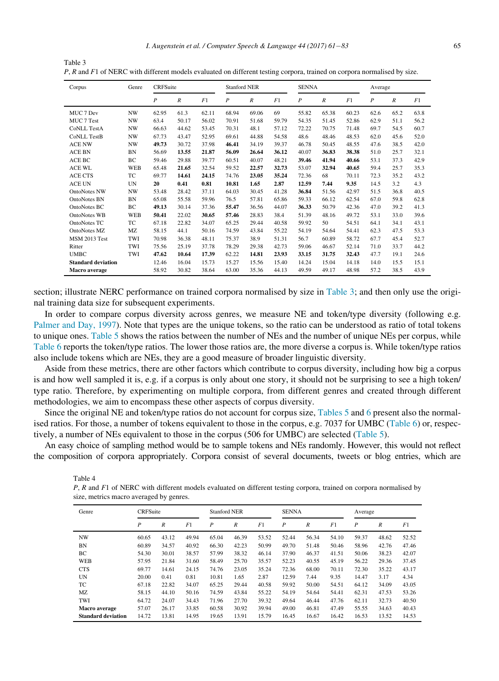| Corpus                    | Genre      | <b>CRFSuite</b>  |                  |       |                  | <b>Stanford NER</b> |       |                  | <b>SENNA</b>     |       | Average          |                  |      |  |
|---------------------------|------------|------------------|------------------|-------|------------------|---------------------|-------|------------------|------------------|-------|------------------|------------------|------|--|
|                           |            | $\boldsymbol{P}$ | $\boldsymbol{R}$ | F1    | $\boldsymbol{P}$ | $\boldsymbol{R}$    | F1    | $\boldsymbol{P}$ | $\boldsymbol{R}$ | F1    | $\boldsymbol{P}$ | $\boldsymbol{R}$ | F1   |  |
| MUC 7 Dev                 | <b>NW</b>  | 62.95            | 61.3             | 62.11 | 68.94            | 69.06               | 69    | 55.82            | 65.38            | 60.23 | 62.6             | 65.2             | 63.8 |  |
| MUC 7 Test                | <b>NW</b>  | 63.4             | 50.17            | 56.02 | 70.91            | 51.68               | 59.79 | 54.35            | 51.45            | 52.86 | 62.9             | 51.1             | 56.2 |  |
| CoNLL TestA               | <b>NW</b>  | 66.63            | 44.62            | 53.45 | 70.31            | 48.1                | 57.12 | 72.22            | 70.75            | 71.48 | 69.7             | 54.5             | 60.7 |  |
| <b>CoNLL TestB</b>        | <b>NW</b>  | 67.73            | 43.47            | 52.95 | 69.61            | 44.88               | 54.58 | 48.6             | 48.46            | 48.53 | 62.0             | 45.6             | 52.0 |  |
| <b>ACE NW</b>             | <b>NW</b>  | 49.73            | 30.72            | 37.98 | 46.41            | 34.19               | 39.37 | 46.78            | 50.45            | 48.55 | 47.6             | 38.5             | 42.0 |  |
| <b>ACE BN</b>             | <b>BN</b>  | 56.69            | 13.55            | 21.87 | 56.09            | 26.64               | 36.12 | 40.07            | 36.83            | 38.38 | 51.0             | 25.7             | 32.1 |  |
| ACE BC                    | BC         | 59.46            | 29.88            | 39.77 | 60.51            | 40.07               | 48.21 | 39.46            | 41.94            | 40.66 | 53.1             | 37.3             | 42.9 |  |
| <b>ACE WL</b>             | <b>WEB</b> | 65.48            | 21.65            | 32.54 | 59.52            | 22.57               | 32.73 | 53.07            | 32.94            | 40.65 | 59.4             | 25.7             | 35.3 |  |
| <b>ACE CTS</b>            | TC         | 69.77            | 14.61            | 24.15 | 74.76            | 23.05               | 35.24 | 72.36            | 68               | 70.11 | 72.3             | 35.2             | 43.2 |  |
| <b>ACE UN</b>             | UN         | 20               | 0.41             | 0.81  | 10.81            | 1.65                | 2.87  | 12.59            | 7.44             | 9.35  | 14.5             | 3.2              | 4.3  |  |
| <b>OntoNotes NW</b>       | <b>NW</b>  | 53.48            | 28.42            | 37.11 | 64.03            | 30.45               | 41.28 | 36.84            | 51.56            | 42.97 | 51.5             | 36.8             | 40.5 |  |
| <b>OntoNotes BN</b>       | <b>BN</b>  | 65.08            | 55.58            | 59.96 | 76.5             | 57.81               | 65.86 | 59.33            | 66.12            | 62.54 | 67.0             | 59.8             | 62.8 |  |
| OntoNotes BC              | BC         | 49.13            | 30.14            | 37.36 | 55.47            | 36.56               | 44.07 | 36.33            | 50.79            | 42.36 | 47.0             | 39.2             | 41.3 |  |
| OntoNotes WB              | <b>WEB</b> | 50.41            | 22.02            | 30.65 | 57.46            | 28.83               | 38.4  | 51.39            | 48.16            | 49.72 | 53.1             | 33.0             | 39.6 |  |
| <b>OntoNotes TC</b>       | TC         | 67.18            | 22.82            | 34.07 | 65.25            | 29.44               | 40.58 | 59.92            | 50               | 54.51 | 64.1             | 34.1             | 43.1 |  |
| OntoNotes MZ              | <b>MZ</b>  | 58.15            | 44.1             | 50.16 | 74.59            | 43.84               | 55.22 | 54.19            | 54.64            | 54.41 | 62.3             | 47.5             | 53.3 |  |
| <b>MSM 2013 Test</b>      | TWI        | 70.98            | 36.38            | 48.11 | 75.37            | 38.9                | 51.31 | 56.7             | 60.89            | 58.72 | 67.7             | 45.4             | 52.7 |  |
| Ritter                    | TWI        | 75.56            | 25.19            | 37.78 | 78.29            | 29.38               | 42.73 | 59.06            | 46.67            | 52.14 | 71.0             | 33.7             | 44.2 |  |
| <b>UMBC</b>               | TWI        | 47.62            | 10.64            | 17.39 | 62.22            | 14.81               | 23.93 | 33.15            | 31.75            | 32.43 | 47.7             | 19.1             | 24.6 |  |
| <b>Standard deviation</b> |            | 12.46            | 16.04            | 15.73 | 15.27            | 15.56               | 15.40 | 14.24            | 15.04            | 14.18 | 14.0             | 15.5             | 15.1 |  |
| Macro average             |            | 58.92            | 30.82            | 38.64 | 63.00            | 35.36               | 44.13 | 49.59            | 49.17            | 48.98 | 57.2             | 38.5             | 43.9 |  |

<span id="page-4-0"></span>Table 3 P, R and F1 of NERC with different models evaluated on different testing corpora, trained on corpora normalised by size.

section; illustrate NERC performance on trained corpora normalised by size in [Table 3;](#page-4-0) and then only use the original training data size for subsequent experiments.

In order to compare corpus diversity across genres, we measure NE and token/type diversity (following e.g. [Palmer and Day, 1997\)](#page-22-1). Note that types are the unique tokens, so the ratio can be understood as ratio of total tokens to unique ones. [Table 5](#page-5-0) shows the ratios between the number of NEs and the number of unique NEs per corpus, while [Table 6](#page-5-1) reports the token/type ratios. The lower those ratios are, the more diverse a corpus is. While token/type ratios also include tokens which are NEs, they are a good measure of broader linguistic diversity.

Aside from these metrics, there are other factors which contribute to corpus diversity, including how big a corpus is and how well sampled it is, e.g. if a corpus is only about one story, it should not be surprising to see a high token/ type ratio. Therefore, by experimenting on multiple corpora, from different genres and created through different methodologies, we aim to encompass these other aspects of corpus diversity.

Since the original NE and token/type ratios do not account for corpus size, [Tables 5](#page-5-0) and [6](#page-5-1) present also the normalised ratios. For those, a number of tokens equivalent to those in the corpus, e.g. 7037 for UMBC [\(Table 6](#page-5-1)) or, respectively, a number of NEs equivalent to those in the corpus (506 for UMBC) are selected ([Table 5](#page-5-0)).

<span id="page-4-1"></span>An easy choice of sampling method would be to sample tokens and NEs randomly. However, this would not reflect the composition of corpora appropriately. Corpora consist of several documents, tweets or blog entries, which are

Table 4

P, R and F1 of NERC with different models evaluated on different testing corpora, trained on corpora normalised by size, metrics macro averaged by genres.

| Genre                     | <b>CRFSuite</b> |                  |       |                  | <b>Stanford NER</b> |       |                  | <b>SENNA</b>     |       | Average          |       |       |
|---------------------------|-----------------|------------------|-------|------------------|---------------------|-------|------------------|------------------|-------|------------------|-------|-------|
|                           | P               | $\boldsymbol{R}$ | F1    | $\boldsymbol{P}$ | $\boldsymbol{R}$    | F1    | $\boldsymbol{P}$ | $\boldsymbol{R}$ | F1    | $\boldsymbol{P}$ | R     | F1    |
| NW                        | 60.65           | 43.12            | 49.94 | 65.04            | 46.39               | 53.52 | 52.44            | 56.34            | 54.10 | 59.37            | 48.62 | 52.52 |
| BN                        | 60.89           | 34.57            | 40.92 | 66.30            | 42.23               | 50.99 | 49.70            | 51.48            | 50.46 | 58.96            | 42.76 | 47.46 |
| BC                        | 54.30           | 30.01            | 38.57 | 57.99            | 38.32               | 46.14 | 37.90            | 46.37            | 41.51 | 50.06            | 38.23 | 42.07 |
| <b>WEB</b>                | 57.95           | 21.84            | 31.60 | 58.49            | 25.70               | 35.57 | 52.23            | 40.55            | 45.19 | 56.22            | 29.36 | 37.45 |
| <b>CTS</b>                | 69.77           | 14.61            | 24.15 | 74.76            | 23.05               | 35.24 | 72.36            | 68.00            | 70.11 | 72.30            | 35.22 | 43.17 |
| UN                        | 20.00           | 0.41             | 0.81  | 10.81            | 1.65                | 2.87  | 12.59            | 7.44             | 9.35  | 14.47            | 3.17  | 4.34  |
| TC                        | 67.18           | 22.82            | 34.07 | 65.25            | 29.44               | 40.58 | 59.92            | 50.00            | 54.51 | 64.12            | 34.09 | 43.05 |
| MZ                        | 58.15           | 44.10            | 50.16 | 74.59            | 43.84               | 55.22 | 54.19            | 54.64            | 54.41 | 62.31            | 47.53 | 53.26 |
| TWI                       | 64.72           | 24.07            | 34.43 | 71.96            | 27.70               | 39.32 | 49.64            | 46.44            | 47.76 | 62.11            | 32.73 | 40.50 |
| <b>Macro</b> average      | 57.07           | 26.17            | 33.85 | 60.58            | 30.92               | 39.94 | 49.00            | 46.81            | 47.49 | 55.55            | 34.63 | 40.43 |
| <b>Standard deviation</b> | 14.72           | 13.81            | 14.95 | 19.65            | 13.91               | 15.79 | 16.45            | 16.67            | 16.42 | 16.53            | 13.52 | 14.53 |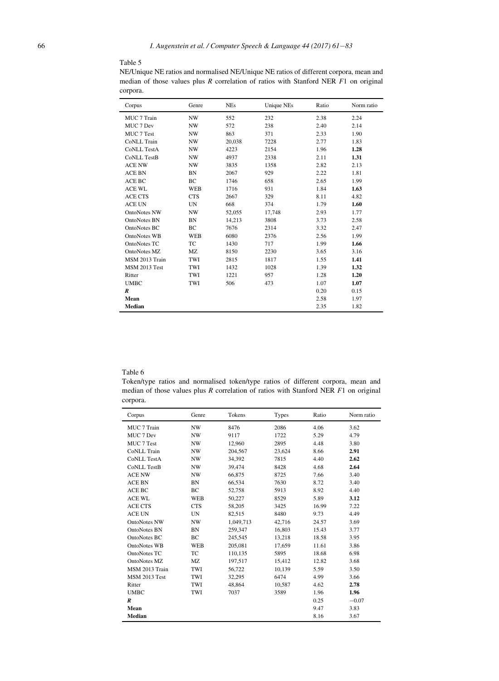# <span id="page-5-0"></span>Table 5

NE/Unique NE ratios and normalised NE/Unique NE ratios of different corpora, mean and median of those values plus R correlation of ratios with Stanford NER F1 on original corpora.

| Corpus               | Genre      | <b>NEs</b> | <b>Unique NEs</b> | Ratio | Norm ratio |
|----------------------|------------|------------|-------------------|-------|------------|
| MUC 7 Train          | NW         | 552        | 232               | 2.38  | 2.24       |
| MUC 7 Dev            | <b>NW</b>  | 572        | 238               | 2.40  | 2.14       |
| MUC 7 Test           | <b>NW</b>  | 863        | 371               | 2.33  | 1.90       |
| CoNLL Train          | <b>NW</b>  | 20,038     | 7228              | 2.77  | 1.83       |
| <b>CoNLL TestA</b>   | <b>NW</b>  | 4223       | 2154              | 1.96  | 1.28       |
| <b>CoNLL TestB</b>   | <b>NW</b>  | 4937       | 2338              | 2.11  | 1.31       |
| <b>ACE NW</b>        | <b>NW</b>  | 3835       | 1358              | 2.82  | 2.13       |
| <b>ACE BN</b>        | <b>BN</b>  | 2067       | 929               | 2.22  | 1.81       |
| ACE BC               | BC         | 1746       | 658               | 2.65  | 1.99       |
| <b>ACE WL</b>        | <b>WEB</b> | 1716       | 931               | 1.84  | 1.63       |
| <b>ACE CTS</b>       | <b>CTS</b> | 2667       | 329               | 8.11  | 4.82       |
| <b>ACE UN</b>        | <b>UN</b>  | 668        | 374               | 1.79  | 1.60       |
| <b>OntoNotes NW</b>  | <b>NW</b>  | 52,055     | 17,748            | 2.93  | 1.77       |
| <b>OntoNotes BN</b>  | <b>BN</b>  | 14,213     | 3808              | 3.73  | 2.58       |
| OntoNotes BC         | BC         | 7676       | 2314              | 3.32  | 2.47       |
| OntoNotes WB         | <b>WEB</b> | 6080       | 2376              | 2.56  | 1.99       |
| <b>OntoNotes TC</b>  | TC         | 1430       | 717               | 1.99  | 1.66       |
| OntoNotes MZ         | MZ         | 8150       | 2230              | 3.65  | 3.16       |
| MSM 2013 Train       | TWI        | 2815       | 1817              | 1.55  | 1.41       |
| <b>MSM 2013 Test</b> | TWI        | 1432       | 1028              | 1.39  | 1.32       |
| Ritter               | TWI        | 1221       | 957               | 1.28  | 1.20       |
| <b>UMBC</b>          | TWI        | 506        | 473               | 1.07  | 1.07       |
| R                    |            |            |                   | 0.20  | 0.15       |
| Mean                 |            |            |                   | 2.58  | 1.97       |
| <b>Median</b>        |            |            |                   | 2.35  | 1.82       |

## <span id="page-5-1"></span>Table 6

Token/type ratios and normalised token/type ratios of different corpora, mean and median of those values plus R correlation of ratios with Stanford NER F1 on original corpora.

| Corpus               | Genre      | Tokens    | Types  | Ratio | Norm ratio |
|----------------------|------------|-----------|--------|-------|------------|
| MUC 7 Train          | NW         | 8476      | 2086   | 4.06  | 3.62       |
| MUC 7 Dev            | NW         | 9117      | 1722   | 5.29  | 4.79       |
| MUC 7 Test           | <b>NW</b>  | 12,960    | 2895   | 4.48  | 3.80       |
| CoNLL Train          | <b>NW</b>  | 204.567   | 23.624 | 8.66  | 2.91       |
| <b>CoNLL TestA</b>   | NW         | 34,392    | 7815   | 4.40  | 2.62       |
| <b>CoNLL TestB</b>   | <b>NW</b>  | 39,474    | 8428   | 4.68  | 2.64       |
| <b>ACE NW</b>        | <b>NW</b>  | 66,875    | 8725   | 7.66  | 3.40       |
| <b>ACE BN</b>        | BN         | 66,534    | 7630   | 8.72  | 3.40       |
| ACE BC               | BC         | 52,758    | 5913   | 8.92  | 4.40       |
| <b>ACE WL</b>        | <b>WEB</b> | 50,227    | 8529   | 5.89  | 3.12       |
| <b>ACE CTS</b>       | <b>CTS</b> | 58,205    | 3425   | 16.99 | 7.22       |
| <b>ACE UN</b>        | <b>UN</b>  | 82,515    | 8480   | 9.73  | 4.49       |
| <b>OntoNotes NW</b>  | <b>NW</b>  | 1,049,713 | 42,716 | 24.57 | 3.69       |
| <b>OntoNotes BN</b>  | BN         | 259.347   | 16,803 | 15.43 | 3.77       |
| OntoNotes BC         | ВC         | 245,545   | 13,218 | 18.58 | 3.95       |
| OntoNotes WB         | <b>WEB</b> | 205,081   | 17,659 | 11.61 | 3.86       |
| OntoNotes TC         | ТC         | 110.135   | 5895   | 18.68 | 6.98       |
| OntoNotes MZ         | MZ         | 197,517   | 15,412 | 12.82 | 3.68       |
| MSM 2013 Train       | TWI        | 56,722    | 10,139 | 5.59  | 3.50       |
| <b>MSM 2013 Test</b> | TWI        | 32,295    | 6474   | 4.99  | 3.66       |
| Ritter               | TWI        | 48,864    | 10,587 | 4.62  | 2.78       |
| <b>UMBC</b>          | TWI        | 7037      | 3589   | 1.96  | 1.96       |
| $\boldsymbol{R}$     |            |           |        | 0.25  | $-0.07$    |
| Mean                 |            |           |        | 9.47  | 3.83       |
| <b>Median</b>        |            |           |        | 8.16  | 3.67       |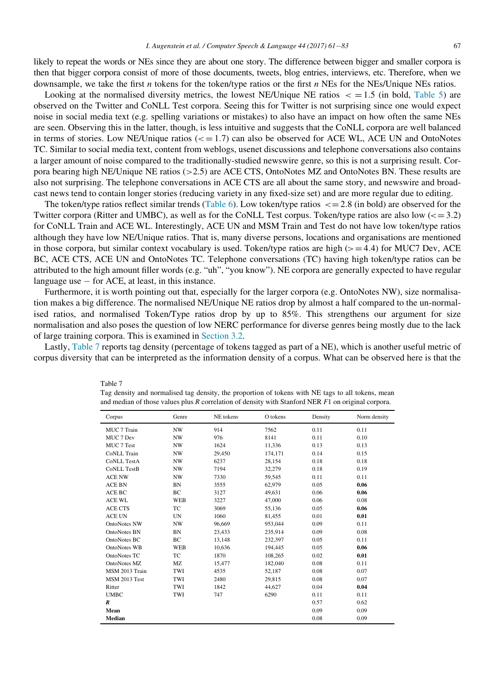likely to repeat the words or NEs since they are about one story. The difference between bigger and smaller corpora is then that bigger corpora consist of more of those documents, tweets, blog entries, interviews, etc. Therefore, when we downsample, we take the first *n* tokens for the token/type ratios or the first *n* NEs for the NEs/Unique NEs ratios.

Looking at the normalised diversity metrics, the lowest NE/Unique NE ratios  $\epsilon = 1.5$  (in bold, [Table 5\)](#page-5-0) are observed on the Twitter and CoNLL Test corpora. Seeing this for Twitter is not surprising since one would expect noise in social media text (e.g. spelling variations or mistakes) to also have an impact on how often the same NEs are seen. Observing this in the latter, though, is less intuitive and suggests that the CoNLL corpora are well balanced in terms of stories. Low NE/Unique ratios  $\left( \langle \nabla \rangle = 1.7 \right)$  can also be observed for ACE WL, ACE UN and OntoNotes TC. Similar to social media text, content from weblogs, usenet discussions and telephone conversations also contains a larger amount of noise compared to the traditionally-studied newswire genre, so this is not a surprising result. Corpora bearing high NE/Unique NE ratios (>2.5) are ACE CTS, OntoNotes MZ and OntoNotes BN. These results are also not surprising. The telephone conversations in ACE CTS are all about the same story, and newswire and broadcast news tend to contain longer stories (reducing variety in any fixed-size set) and are more regular due to editing.

The token/type ratios reflect similar trends ([Table 6](#page-5-1)). Low token/type ratios  $\lt = 2.8$  (in bold) are observed for the Twitter corpora (Ritter and UMBC), as well as for the CoNLL Test corpus. Token/type ratios are also low  $\left(\leq 3.2\right)$ for CoNLL Train and ACE WL. Interestingly, ACE UN and MSM Train and Test do not have low token/type ratios although they have low NE/Unique ratios. That is, many diverse persons, locations and organisations are mentioned in those corpora, but similar context vocabulary is used. Token/type ratios are high ( $> = 4.4$ ) for MUC7 Dev, ACE BC, ACE CTS, ACE UN and OntoNotes TC. Telephone conversations (TC) having high token/type ratios can be attributed to the high amount filler words (e.g. "uh", "you know"). NE corpora are generally expected to have regular language use  $-$  for ACE, at least, in this instance.

Furthermore, it is worth pointing out that, especially for the larger corpora (e.g. OntoNotes NW), size normalisation makes a big difference. The normalised NE/Unique NE ratios drop by almost a half compared to the un-normalised ratios, and normalised Token/Type ratios drop by up to 85%. This strengthens our argument for size normalisation and also poses the question of low NERC performance for diverse genres being mostly due to the lack of large training corpora. This is examined in [Section 3.2.](#page-9-0)

<span id="page-6-0"></span>Lastly, [Table 7](#page-6-0) reports tag density (percentage of tokens tagged as part of a NE), which is another useful metric of corpus diversity that can be interpreted as the information density of a corpus. What can be observed here is that the

| Corpus               | Genre      | NE tokens | O tokens | Density | Norm density |
|----------------------|------------|-----------|----------|---------|--------------|
| MUC 7 Train          | <b>NW</b>  | 914       | 7562     | 0.11    | 0.11         |
| MUC 7 Dev            | NW         | 976       | 8141     | 0.11    | 0.10         |
| MUC 7 Test           | NW         | 1624      | 11,336   | 0.13    | 0.13         |
| CoNLL Train          | <b>NW</b>  | 29,450    | 174,171  | 0.14    | 0.15         |
| <b>CoNLL TestA</b>   | <b>NW</b>  | 6237      | 28,154   | 0.18    | 0.18         |
| <b>CoNLL TestB</b>   | <b>NW</b>  | 7194      | 32,279   | 0.18    | 0.19         |
| <b>ACE NW</b>        | <b>NW</b>  | 7330      | 59,545   | 0.11    | 0.11         |
| <b>ACE BN</b>        | BN         | 3555      | 62,979   | 0.05    | 0.06         |
| ACE BC               | BC         | 3127      | 49,631   | 0.06    | 0.06         |
| <b>ACE WL</b>        | <b>WEB</b> | 3227      | 47,000   | 0.06    | 0.08         |
| <b>ACE CTS</b>       | TC         | 3069      | 55,136   | 0.05    | 0.06         |
| ACE UN               | UN         | 1060      | 81,455   | 0.01    | 0.01         |
| <b>OntoNotes NW</b>  | <b>NW</b>  | 96,669    | 953,044  | 0.09    | 0.11         |
| <b>OntoNotes BN</b>  | <b>BN</b>  | 23,433    | 235,914  | 0.09    | 0.08         |
| OntoNotes BC         | BC         | 13,148    | 232,397  | 0.05    | 0.11         |
| <b>OntoNotes WB</b>  | <b>WEB</b> | 10,636    | 194,445  | 0.05    | 0.06         |
| OntoNotes TC         | TC         | 1870      | 108,265  | 0.02    | 0.01         |
| OntoNotes MZ         | <b>MZ</b>  | 15,477    | 182,040  | 0.08    | 0.11         |
| MSM 2013 Train       | TWI        | 4535      | 52,187   | 0.08    | 0.07         |
| <b>MSM 2013 Test</b> | TWI        | 2480      | 29,815   | 0.08    | 0.07         |
| Ritter               | TWI        | 1842      | 44.627   | 0.04    | 0.04         |
| <b>UMBC</b>          | TWI        | 747       | 6290     | 0.11    | 0.11         |
| $\boldsymbol{R}$     |            |           |          | 0.57    | 0.62         |
| Mean                 |            |           |          | 0.09    | 0.09         |
| Median               |            |           |          | 0.08    | 0.09         |

Table 7

Tag density and normalised tag density, the proportion of tokens with NE tags to all tokens, mean and median of those values plus R correlation of density with Stanford NER  $F1$  on original corpora.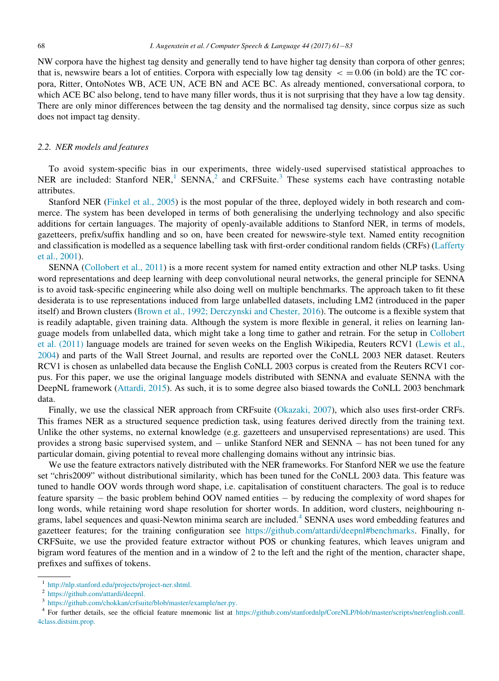NW corpora have the highest tag density and generally tend to have higher tag density than corpora of other genres; that is, newswire bears a lot of entities. Corpora with especially low tag density  $\epsilon = 0.06$  (in bold) are the TC corpora, Ritter, OntoNotes WB, ACE UN, ACE BN and ACE BC. As already mentioned, conversational corpora, to which ACE BC also belong, tend to have many filler words, thus it is not surprising that they have a low tag density. There are only minor differences between the tag density and the normalised tag density, since corpus size as such does not impact tag density.

## <span id="page-7-0"></span>2.2. NER models and features

To avoid system-specific bias in our experiments, three widely-used supervised statistical approaches to NER are included: Stanford NER,<sup>1</sup> SENNA,<sup>2</sup> and CRFSuite.<sup>3</sup> These systems each have contrasting notable attributes.

Stanford NER ([Finkel et al., 2005](#page-21-10)) is the most popular of the three, deployed widely in both research and commerce. The system has been developed in terms of both generalising the underlying technology and also specific additions for certain languages. The majority of openly-available additions to Stanford NER, in terms of models, gazetteers, prefix/suffix handling and so on, have been created for newswire-style text. Named entity recognition and classification is modelled as a sequence labelling task with first-order conditional random fields (CRFs) ([Lafferty](#page-21-13) [et al., 2001](#page-21-13)).

SENNA [\(Collobert et al., 2011](#page-21-11)) is a more recent system for named entity extraction and other NLP tasks. Using word representations and deep learning with deep convolutional neural networks, the general principle for SENNA is to avoid task-specific engineering while also doing well on multiple benchmarks. The approach taken to fit these desiderata is to use representations induced from large unlabelled datasets, including LM2 (introduced in the paper itself) and Brown clusters ([Brown et al., 1992; Derczynski and Chester, 2016\)](#page-20-4). The outcome is a flexible system that is readily adaptable, given training data. Although the system is more flexible in general, it relies on learning language models from unlabelled data, which might take a long time to gather and retrain. For the setup in [Collobert](#page-21-11) [et al. \(2011\)](#page-21-11) language models are trained for seven weeks on the English Wikipedia, Reuters RCV1 [\(Lewis et al.,](#page-21-14) [2004](#page-21-14)) and parts of the Wall Street Journal, and results are reported over the CoNLL 2003 NER dataset. Reuters RCV1 is chosen as unlabelled data because the English CoNLL 2003 corpus is created from the Reuters RCV1 corpus. For this paper, we use the original language models distributed with SENNA and evaluate SENNA with the DeepNL framework [\(Attardi, 2015\)](#page-20-5). As such, it is to some degree also biased towards the CoNLL 2003 benchmark data.

Finally, we use the classical NER approach from CRFsuite ([Okazaki, 2007\)](#page-22-8), which also uses first-order CRFs. This frames NER as a structured sequence prediction task, using features derived directly from the training text. Unlike the other systems, no external knowledge (e.g. gazetteers and unsupervised representations) are used. This provides a strong basic supervised system, and  $-$  unlike Stanford NER and SENNA  $-$  has not been tuned for any particular domain, giving potential to reveal more challenging domains without any intrinsic bias.

We use the feature extractors natively distributed with the NER frameworks. For Stanford NER we use the feature set "chris2009" without distributional similarity, which has been tuned for the CoNLL 2003 data. This feature was tuned to handle OOV words through word shape, i.e. capitalisation of constituent characters. The goal is to reduce feature sparsity  $-$  the basic problem behind OOV named entities  $-$  by reducing the complexity of word shapes for long words, while retaining word shape resolution for shorter words. In addition, word clusters, neighbouring ngrams, label sequences and quasi-Newton minima search are included.<sup>4</sup> SENNA uses word embedding features and gazetteer features; for the training configuration see <https://github.com/attardi/deepnl#benchmarks>. Finally, for CRFSuite, we use the provided feature extractor without POS or chunking features, which leaves unigram and bigram word features of the mention and in a window of 2 to the left and the right of the mention, character shape, prefixes and suffixes of tokens.

<sup>1</sup> [http://nlp.stanford.edu/projects/project-ner.shtml.](http://nlp.stanford.edu/projects/project-ner.shtml)

<sup>2</sup> [https://github.com/attardi/deepnl.](https://github.com/attardi/deepnl)

<sup>3</sup> [https://github.com/chokkan/crfsuite/blob/master/example/ner.py.](https://github.com/chokkan/crfsuite/blob/master/example/ner.py)

<sup>4</sup> For further details, see the official feature mnemonic list at [https://github.com/stanfordnlp/CoreNLP/blob/master/scripts/ner/english.conll.](https://github.com/stanfordnlp/CoreNLP/blob/master/scripts/ner/english.conll.4class.distsim.prop) [4class.distsim.prop.](https://github.com/stanfordnlp/CoreNLP/blob/master/scripts/ner/english.conll.4class.distsim.prop)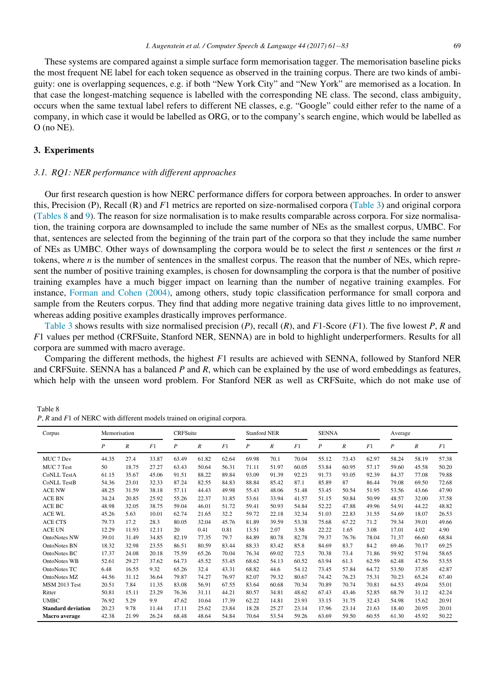These systems are compared against a simple surface form memorisation tagger. The memorisation baseline picks the most frequent NE label for each token sequence as observed in the training corpus. There are two kinds of ambiguity: one is overlapping sequences, e.g. if both "New York City" and "New York" are memorised as a location. In that case the longest-matching sequence is labelled with the corresponding NE class. The second, class ambiguity, occurs when the same textual label refers to different NE classes, e.g. "Google" could either refer to the name of a company, in which case it would be labelled as ORG, or to the company's search engine, which would be labelled as O (no NE).

# <span id="page-8-0"></span>3. Experiments

## 3.1. RQ1: NER performance with different approaches

Our first research question is how NERC performance differs for corpora between approaches. In order to answer this, Precision (P), Recall (R) and F1 metrics are reported on size-normalised corpora ([Table 3\)](#page-4-0) and original corpora [\(Tables 8](#page-8-1) and [9](#page-9-1)). The reason for size normalisation is to make results comparable across corpora. For size normalisation, the training corpora are downsampled to include the same number of NEs as the smallest corpus, UMBC. For that, sentences are selected from the beginning of the train part of the corpora so that they include the same number of NEs as UMBC. Other ways of downsampling the corpora would be to select the first  $n$  sentences or the first  $n$ tokens, where n is the number of sentences in the smallest corpus. The reason that the number of NEs, which represent the number of positive training examples, is chosen for downsampling the corpora is that the number of positive training examples have a much bigger impact on learning than the number of negative training examples. For instance, [Forman and Cohen \(2004\),](#page-21-15) among others, study topic classification performance for small corpora and sample from the Reuters corpus. They find that adding more negative training data gives little to no improvement, whereas adding positive examples drastically improves performance.

[Table 3](#page-4-0) shows results with size normalised precision  $(P)$ , recall  $(R)$ , and  $F1$ -Score  $(F1)$ . The five lowest P, R and F1 values per method (CRFSuite, Stanford NER, SENNA) are in bold to highlight underperformers. Results for all corpora are summed with macro average.

Comparing the different methods, the highest  $F1$  results are achieved with SENNA, followed by Stanford NER and CRFSuite. SENNA has a balanced  $P$  and  $R$ , which can be explained by the use of word embeddings as features, which help with the unseen word problem. For Stanford NER as well as CRFSuite, which do not make use of

<span id="page-8-1"></span>Table 8 P, R and F1 of NERC with different models trained on original corpora.

| Corpus                    | Memorisation     |                  |       | CRFSuite         |                  |       |                  | <b>Stanford NER</b> |       |                  | <b>SENNA</b>     |       | Average          |                  |       |
|---------------------------|------------------|------------------|-------|------------------|------------------|-------|------------------|---------------------|-------|------------------|------------------|-------|------------------|------------------|-------|
|                           | $\boldsymbol{P}$ | $\boldsymbol{R}$ | F1    | $\boldsymbol{P}$ | $\boldsymbol{R}$ | F1    | $\boldsymbol{P}$ | $\boldsymbol{R}$    | F1    | $\boldsymbol{P}$ | $\boldsymbol{R}$ | F1    | $\boldsymbol{P}$ | $\boldsymbol{R}$ | F1    |
| MUC 7 Dev                 | 44.35            | 27.4             | 33.87 | 63.49            | 61.82            | 62.64 | 69.98            | 70.1                | 70.04 | 55.12            | 73.43            | 62.97 | 58.24            | 58.19            | 57.38 |
| MUC 7 Test                | 50               | 18.75            | 27.27 | 63.43            | 50.64            | 56.31 | 71.11            | 51.97               | 60.05 | 53.84            | 60.95            | 57.17 | 59.60            | 45.58            | 50.20 |
| <b>CoNLL TestA</b>        | 61.15            | 35.67            | 45.06 | 91.51            | 88.22            | 89.84 | 93.09            | 91.39               | 92.23 | 91.73            | 93.05            | 92.39 | 84.37            | 77.08            | 79.88 |
| <b>CoNLL TestB</b>        | 54.36            | 23.01            | 32.33 | 87.24            | 82.55            | 84.83 | 88.84            | 85.42               | 87.1  | 85.89            | 87               | 86.44 | 79.08            | 69.50            | 72.68 |
| <b>ACE NW</b>             | 48.25            | 31.59            | 38.18 | 57.11            | 44.43            | 49.98 | 55.43            | 48.06               | 51.48 | 53.45            | 50.54            | 51.95 | 53.56            | 43.66            | 47.90 |
| <b>ACE BN</b>             | 34.24            | 20.85            | 25.92 | 55.26            | 22.37            | 31.85 | 53.61            | 33.94               | 41.57 | 51.15            | 50.84            | 50.99 | 48.57            | 32.00            | 37.58 |
| ACE BC                    | 48.98            | 32.05            | 38.75 | 59.04            | 46.01            | 51.72 | 59.41            | 50.93               | 54.84 | 52.22            | 47.88            | 49.96 | 54.91            | 44.22            | 48.82 |
| <b>ACE WL</b>             | 45.26            | 5.63             | 10.01 | 62.74            | 21.65            | 32.2  | 59.72            | 22.18               | 32.34 | 51.03            | 22.83            | 31.55 | 54.69            | 18.07            | 26.53 |
| <b>ACE CTS</b>            | 79.73            | 17.2             | 28.3  | 80.05            | 32.04            | 45.76 | 81.89            | 39.59               | 53.38 | 75.68            | 67.22            | 71.2  | 79.34            | 39.01            | 49.66 |
| <b>ACE UN</b>             | 12.29            | 11.93            | 12.11 | 20               | 0.41             | 0.81  | 13.51            | 2.07                | 3.58  | 22.22            | 1.65             | 3.08  | 17.01            | 4.02             | 4.90  |
| <b>OntoNotes NW</b>       | 39.01            | 31.49            | 34.85 | 82.19            | 77.35            | 79.7  | 84.89            | 80.78               | 82.78 | 79.37            | 76.76            | 78.04 | 71.37            | 66.60            | 68.84 |
| <b>OntoNotes BN</b>       | 18.32            | 32.98            | 23.55 | 86.51            | 80.59            | 83.44 | 88.33            | 83.42               | 85.8  | 84.69            | 83.7             | 84.2  | 69.46            | 70.17            | 69.25 |
| OntoNotes BC              | 17.37            | 24.08            | 20.18 | 75.59            | 65.26            | 70.04 | 76.34            | 69.02               | 72.5  | 70.38            | 73.4             | 71.86 | 59.92            | 57.94            | 58.65 |
| <b>OntoNotes WB</b>       | 52.61            | 29.27            | 37.62 | 64.73            | 45.52            | 53.45 | 68.62            | 54.13               | 60.52 | 63.94            | 61.3             | 62.59 | 62.48            | 47.56            | 53.55 |
| OntoNotes TC              | 6.48             | 16.55            | 9.32  | 65.26            | 32.4             | 43.31 | 68.82            | 44.6                | 54.12 | 73.45            | 57.84            | 64.72 | 53.50            | 37.85            | 42.87 |
| OntoNotes MZ              | 44.56            | 31.12            | 36.64 | 79.87            | 74.27            | 76.97 | 82.07            | 79.32               | 80.67 | 74.42            | 76.23            | 75.31 | 70.23            | 65.24            | 67.40 |
| <b>MSM 2013 Test</b>      | 20.51            | 7.84             | 11.35 | 83.08            | 56.91            | 67.55 | 83.64            | 60.68               | 70.34 | 70.89            | 70.74            | 70.81 | 64.53            | 49.04            | 55.01 |
| Ritter                    | 50.81            | 15.11            | 23.29 | 76.36            | 31.11            | 44.21 | 80.57            | 34.81               | 48.62 | 67.43            | 43.46            | 52.85 | 68.79            | 31.12            | 42.24 |
| <b>UMBC</b>               | 76.92            | 5.29             | 9.9   | 47.62            | 10.64            | 17.39 | 62.22            | 14.81               | 23.93 | 33.15            | 31.75            | 32.43 | 54.98            | 15.62            | 20.91 |
| <b>Standard deviation</b> | 20.23            | 9.78             | 11.44 | 17.11            | 25.62            | 23.84 | 18.28            | 25.27               | 23.14 | 17.96            | 23.14            | 21.63 | 18.40            | 20.95            | 20.01 |
| Macro average             | 42.38            | 21.99            | 26.24 | 68.48            | 48.64            | 54.84 | 70.64            | 53.54               | 59.26 | 63.69            | 59.50            | 60.55 | 61.30            | 45.92            | 50.22 |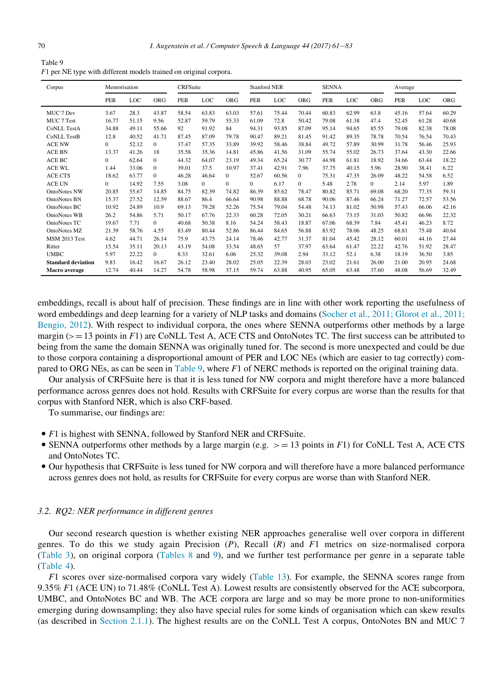<span id="page-9-1"></span>

| Table 9                                                             |  |
|---------------------------------------------------------------------|--|
| $F1$ per NE type with different models trained on original corpora. |  |

| Corpus                    | Memorisation |       |                | <b>CRFSuite</b> |          |              | <b>Stanford NER</b> |       | <b>SENNA</b> |            |       | Average    |            |       |            |
|---------------------------|--------------|-------|----------------|-----------------|----------|--------------|---------------------|-------|--------------|------------|-------|------------|------------|-------|------------|
|                           | <b>PER</b>   | LOC   | <b>ORG</b>     | <b>PER</b>      | LOC      | <b>ORG</b>   | <b>PER</b>          | LOC   | <b>ORG</b>   | <b>PER</b> | LOC   | <b>ORG</b> | <b>PER</b> | LOC   | <b>ORG</b> |
| MUC 7 Dev                 | 3.67         | 28.3  | 43.87          | 58.54           | 63.83    | 63.03        | 57.61               | 75.44 | 70.44        | 60.83      | 62.99 | 63.8       | 45.16      | 57.64 | 60.29      |
| MUC 7 Test                | 16.77        | 51.15 | 9.56           | 52.87           | 59.79    | 55.33        | 61.09               | 72.8  | 50.42        | 79.08      | 61.38 | 47.4       | 52.45      | 61.28 | 40.68      |
| <b>CoNLL TestA</b>        | 34.88        | 49.11 | 55.66          | 92              | 91.92    | 84           | 94.31               | 93.85 | 87.09        | 95.14      | 94.65 | 85.55      | 79.08      | 82.38 | 78.08      |
| <b>CoNLL TestB</b>        | 12.8         | 40.52 | 41.71          | 87.45           | 87.09    | 79.78        | 90.47               | 89.21 | 81.45        | 91.42      | 89.35 | 78.78      | 70.54      | 76.54 | 70.43      |
| <b>ACE NW</b>             | $\Omega$     | 52.12 | $\Omega$       | 37.47           | 57.35    | 33.89        | 39.92               | 58.46 | 38.84        | 49.72      | 57.89 | 30.99      | 31.78      | 56.46 | 25.93      |
| <b>ACE BN</b>             | 13.37        | 41.26 | 18             | 35.58           | 35.36    | 14.81        | 45.86               | 41.56 | 31.09        | 55.74      | 55.02 | 26.73      | 37.64      | 43.30 | 22.66      |
| <b>ACE BC</b>             | $\Omega$     | 62.64 | $\theta$       | 44.32           | 64.07    | 23.19        | 49.34               | 65.24 | 30.77        | 44.98      | 61.81 | 18.92      | 34.66      | 63.44 | 18.22      |
| <b>ACE WL</b>             | 1.44         | 33.06 | $\theta$       | 39.01           | 37.5     | 10.97        | 37.41               | 42.91 | 7.96         | 37.75      | 40.15 | 5.96       | 28.90      | 38.41 | 6.22       |
| <b>ACE CTS</b>            | 18.62        | 63.77 | $\overline{0}$ | 46.28           | 46.64    | $\mathbf{0}$ | 52.67               | 60.56 | $\mathbf{0}$ | 75.31      | 47.35 | 26.09      | 48.22      | 54.58 | 6.52       |
| <b>ACE UN</b>             | $\Omega$     | 14.92 | 7.55           | 3.08            | $\Omega$ | $\Omega$     | $\Omega$            | 6.17  | $\Omega$     | 5.48       | 2.78  | 0          | 2.14       | 5.97  | 1.89       |
| <b>OntoNotes NW</b>       | 20.85        | 55.67 | 14.85          | 84.75           | 82.39    | 74.82        | 86.39               | 85.62 | 78.47        | 80.82      | 85.71 | 69.08      | 68.20      | 77.35 | 59.31      |
| <b>OntoNotes BN</b>       | 15.37        | 27.52 | 12.59          | 88.67           | 86.4     | 66.64        | 90.98               | 88.88 | 68.78        | 90.06      | 87.46 | 66.24      | 71.27      | 72.57 | 53.56      |
| OntoNotes BC              | 10.92        | 24.89 | 10.9           | 69.13           | 79.28    | 52.26        | 75.54               | 79.04 | 54.48        | 74.13      | 81.02 | 50.98      | 57.43      | 66.06 | 42.16      |
| OntoNotes WB              | 26.2         | 54.86 | 5.71           | 50.17           | 67.76    | 22.33        | 60.28               | 72.05 | 30.21        | 66.63      | 73.15 | 31.03      | 50.82      | 66.96 | 22.32      |
| OntoNotes TC              | 19.67        | 7.71  | $\overline{0}$ | 40.68           | 50.38    | 8.16         | 54.24               | 58.43 | 18.87        | 67.06      | 68.39 | 7.84       | 45.41      | 46.23 | 8.72       |
| <b>OntoNotes MZ</b>       | 21.39        | 58.76 | 4.55           | 83.49           | 80.44    | 52.86        | 86.44               | 84.65 | 56.88        | 83.92      | 78.06 | 48.25      | 68.81      | 75.48 | 40.64      |
| MSM 2013 Test             | 4.62         | 44.71 | 26.14          | 75.9            | 43.75    | 24.14        | 78.46               | 42.77 | 31.37        | 81.04      | 45.42 | 28.12      | 60.01      | 44.16 | 27.44      |
| Ritter                    | 15.54        | 35.11 | 20.13          | 43.19           | 54.08    | 33.54        | 48.65               | 57    | 37.97        | 63.64      | 61.47 | 22.22      | 42.76      | 51.92 | 28.47      |
| <b>UMBC</b>               | 5.97         | 22.22 | $\Omega$       | 8.33            | 32.61    | 6.06         | 25.32               | 39.08 | 2.94         | 33.12      | 52.1  | 6.38       | 18.19      | 36.50 | 3.85       |
| <b>Standard deviation</b> | 9.83         | 16.42 | 16.67          | 26.12           | 23.40    | 28.02        | 25.05               | 22.39 | 28.03        | 23.02      | 21.61 | 26.00      | 21.00      | 20.95 | 24.68      |
| <b>Macro</b> average      | 12.74        | 40.44 | 14.27          | 54.78           | 58.98    | 37.15        | 59.74               | 63.88 | 40.95        | 65.05      | 63.48 | 37.60      | 48.08      | 56.69 | 32.49      |

embeddings, recall is about half of precision. These findings are in line with other work reporting the usefulness of word embeddings and deep learning for a variety of NLP tasks and domains [\(Socher et al., 2011; Glorot et al., 2011;](#page-22-10) [Bengio, 2012\)](#page-22-10). With respect to individual corpora, the ones where SENNA outperforms other methods by a large margin ( $>=$  13 points in F1) are CoNLL Test A, ACE CTS and OntoNotes TC. The first success can be attributed to being from the same the domain SENNA was originally tuned for. The second is more unexpected and could be due to those corpora containing a disproportional amount of PER and LOC NEs (which are easier to tag correctly) com-pared to ORG NEs, as can be seen in [Table 9,](#page-9-1) where  $F1$  of NERC methods is reported on the original training data.

Our analysis of CRFSuite here is that it is less tuned for NW corpora and might therefore have a more balanced performance across genres does not hold. Results with CRFSuite for every corpus are worse than the results for that corpus with Stanford NER, which is also CRF-based.

To summarise, our findings are:

- F1 is highest with SENNA, followed by Stanford NER and CRFSuite.
- SENNA outperforms other methods by a large margin (e.g.  $> = 13$  points in F1) for CoNLL Test A, ACE CTS and OntoNotes TC.
- Our hypothesis that CRFSuite is less tuned for NW corpora and will therefore have a more balanced performance across genres does not hold, as results for CRFSuite for every corpus are worse than with Stanford NER.

# <span id="page-9-0"></span>3.2. RQ2: NER performance in different genres

Our second research question is whether existing NER approaches generalise well over corpora in different genres. To do this we study again Precision  $(P)$ , Recall  $(R)$  and  $F1$  metrics on size-normalised corpora ([Table 3\)](#page-4-0), on original corpora ([Tables 8](#page-8-1) and [9\)](#page-9-1), and we further test performance per genre in a separate table ([Table 4\)](#page-4-1).

F1 scores over size-normalised corpora vary widely ([Table 13\)](#page-13-0). For example, the SENNA scores range from 9.35% F1 (ACE UN) to 71.48% (CoNLL Test A). Lowest results are consistently observed for the ACE subcorpora, UMBC, and OntoNotes BC and WB. The ACE corpora are large and so may be more prone to non-uniformities emerging during downsampling; they also have special rules for some kinds of organisation which can skew results (as described in [Section 2.1.1](#page-2-1)). The highest results are on the CoNLL Test A corpus, OntoNotes BN and MUC 7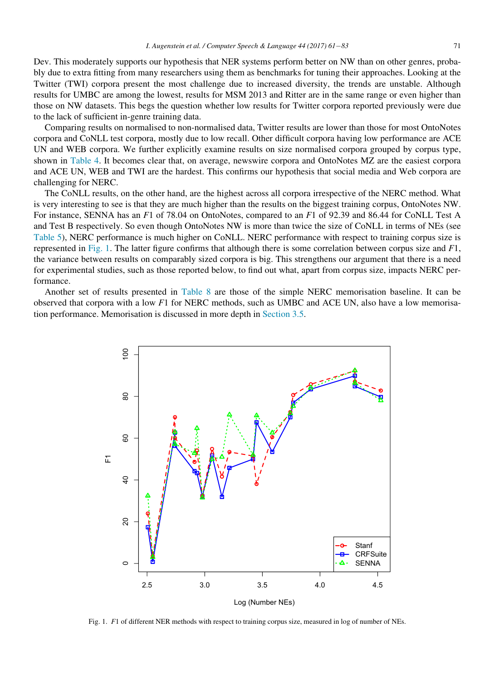Dev. This moderately supports our hypothesis that NER systems perform better on NW than on other genres, probably due to extra fitting from many researchers using them as benchmarks for tuning their approaches. Looking at the Twitter (TWI) corpora present the most challenge due to increased diversity, the trends are unstable. Although results for UMBC are among the lowest, results for MSM 2013 and Ritter are in the same range or even higher than those on NW datasets. This begs the question whether low results for Twitter corpora reported previously were due to the lack of sufficient in-genre training data.

Comparing results on normalised to non-normalised data, Twitter results are lower than those for most OntoNotes corpora and CoNLL test corpora, mostly due to low recall. Other difficult corpora having low performance are ACE UN and WEB corpora. We further explicitly examine results on size normalised corpora grouped by corpus type, shown in [Table 4.](#page-4-1) It becomes clear that, on average, newswire corpora and OntoNotes MZ are the easiest corpora and ACE UN, WEB and TWI are the hardest. This confirms our hypothesis that social media and Web corpora are challenging for NERC.

The CoNLL results, on the other hand, are the highest across all corpora irrespective of the NERC method. What is very interesting to see is that they are much higher than the results on the biggest training corpus, OntoNotes NW. For instance, SENNA has an F1 of 78.04 on OntoNotes, compared to an F1 of 92.39 and 86.44 for CoNLL Test A and Test B respectively. So even though OntoNotes NW is more than twice the size of CoNLL in terms of NEs (see [Table 5](#page-5-0)), NERC performance is much higher on CoNLL. NERC performance with respect to training corpus size is represented in [Fig. 1.](#page-10-0) The latter figure confirms that although there is some correlation between corpus size and F1, the variance between results on comparably sized corpora is big. This strengthens our argument that there is a need for experimental studies, such as those reported below, to find out what, apart from corpus size, impacts NERC performance.

<span id="page-10-0"></span>Another set of results presented in [Table 8](#page-8-1) are those of the simple NERC memorisation baseline. It can be observed that corpora with a low F1 for NERC methods, such as UMBC and ACE UN, also have a low memorisation performance. Memorisation is discussed in more depth in [Section 3.5.](#page-15-0)



Fig. 1. F1 of different NER methods with respect to training corpus size, measured in log of number of NEs.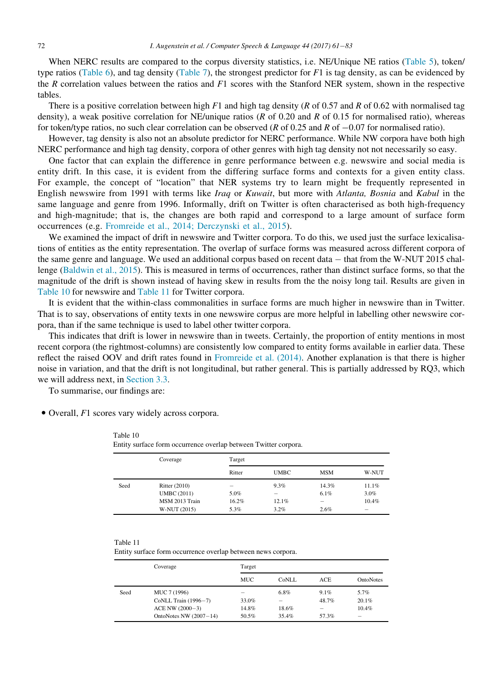When NERC results are compared to the corpus diversity statistics, i.e. NE/Unique NE ratios [\(Table 5](#page-5-0)), token/ type ratios [\(Table 6](#page-5-1)), and tag density ([Table 7](#page-6-0)), the strongest predictor for  $F1$  is tag density, as can be evidenced by the R correlation values between the ratios and  $F1$  scores with the Stanford NER system, shown in the respective tables.

There is a positive correlation between high  $F1$  and high tag density (R of 0.57 and R of 0.62 with normalised tag density), a weak positive correlation for NE/unique ratios ( $R$  of 0.20 and  $R$  of 0.15 for normalised ratio), whereas for token/type ratios, no such clear correlation can be observed (R of 0.25 and R of  $-0.07$  for normalised ratio).

However, tag density is also not an absolute predictor for NERC performance. While NW corpora have both high NERC performance and high tag density, corpora of other genres with high tag density not not necessarily so easy.

One factor that can explain the difference in genre performance between e.g. newswire and social media is entity drift. In this case, it is evident from the differing surface forms and contexts for a given entity class. For example, the concept of "location" that NER systems try to learn might be frequently represented in English newswire from 1991 with terms like Iraq or Kuwait, but more with Atlanta, Bosnia and Kabul in the same language and genre from 1996. Informally, drift on Twitter is often characterised as both high-frequency and high-magnitude; that is, the changes are both rapid and correspond to a large amount of surface form occurrences (e.g. [Fromreide et al., 2014; Derczynski et al., 2015\)](#page-21-16).

We examined the impact of drift in newswire and Twitter corpora. To do this, we used just the surface lexicalisations of entities as the entity representation. The overlap of surface forms was measured across different corpora of the same genre and language. We used an additional corpus based on recent data - that from the W-NUT 2015 challenge ([Baldwin et al., 2015](#page-20-6)). This is measured in terms of occurrences, rather than distinct surface forms, so that the magnitude of the drift is shown instead of having skew in results from the the noisy long tail. Results are given in [Table 10](#page-11-0) for newswire and [Table 11](#page-11-1) for Twitter corpora.

It is evident that the within-class commonalities in surface forms are much higher in newswire than in Twitter. That is to say, observations of entity texts in one newswire corpus are more helpful in labelling other newswire corpora, than if the same technique is used to label other twitter corpora.

This indicates that drift is lower in newswire than in tweets. Certainly, the proportion of entity mentions in most recent corpora (the rightmost-columns) are consistently low compared to entity forms available in earlier data. These reflect the raised OOV and drift rates found in [Fromreide et al. \(2014\)](#page-21-16). Another explanation is that there is higher noise in variation, and that the drift is not longitudinal, but rather general. This is partially addressed by RQ3, which we will address next, in [Section 3.3.](#page-12-0)

To summarise, our findings are:

<span id="page-11-0"></span>• Overall, F1 scores vary widely across corpora.

| Table 10                                                        |  |
|-----------------------------------------------------------------|--|
| Entity surface form occurrence overlap between Twitter corpora. |  |

|      | Coverage             | Target |             |                 |         |
|------|----------------------|--------|-------------|-----------------|---------|
|      |                      | Ritter | <b>UMBC</b> | <b>MSM</b>      | W-NUT   |
| Seed | <b>Ritter</b> (2010) |        | 9.3%        | 14.3%           | 11.1%   |
|      | <b>UMBC</b> (2011)   | 5.0%   |             | 6.1%            | $3.0\%$ |
|      | MSM 2013 Train       | 16.2%  | 12.1%       | $\qquad \qquad$ | 10.4%   |
|      | W-NUT (2015)         | 5.3%   | $3.2\%$     | 2.6%            | -       |

<span id="page-11-1"></span>Table 11

Entity surface form occurrence overlap between news corpora.

|      | Coverage                 | Target |         |            |           |
|------|--------------------------|--------|---------|------------|-----------|
|      |                          | MUC    | CoNLL   | <b>ACE</b> | OntoNotes |
| Seed | MUC 7 (1996)             |        | $6.8\%$ | 9.1%       | 5.7%      |
|      | CoNLL Train (1996-7)     | 33.0%  | -       | 48.7%      | 20.1%     |
|      | ACE NW (2000-3)          | 14.8%  | 18.6%   |            | 10.4%     |
|      | OntoNotes NW $(2007-14)$ | 50.5%  | 35.4%   | 57.3%      | –         |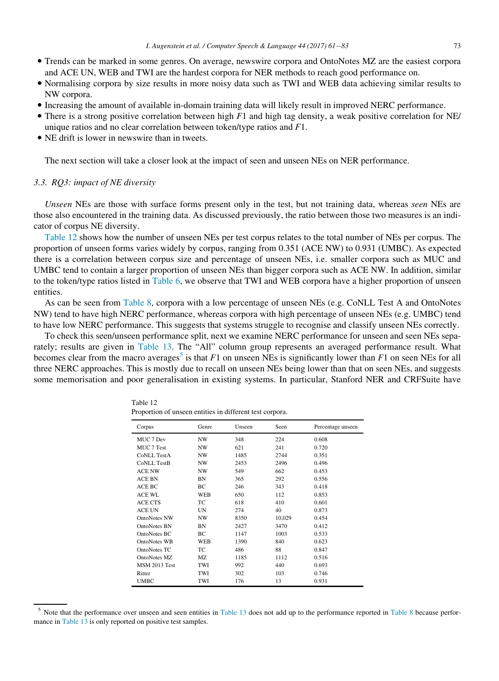- Trends can be marked in some genres. On average, newswire corpora and OntoNotes MZ are the easiest corpora and ACE UN, WEB and TWI are the hardest corpora for NER methods to reach good performance on.
- Normalising corpora by size results in more noisy data such as TWI and WEB data achieving similar results to NW corpora.
- Increasing the amount of available in-domain training data will likely result in improved NERC performance.
- There is a strong positive correlation between high  $F1$  and high tag density, a weak positive correlation for NE/ unique ratios and no clear correlation between token/type ratios and  $F1$ .
- NE drift is lower in newswire than in tweets.

The next section will take a closer look at the impact of seen and unseen NEs on NER performance.

# <span id="page-12-0"></span>3.3. RQ3: impact of NE diversity

Unseen NEs are those with surface forms present only in the test, but not training data, whereas seen NEs are those also encountered in the training data. As discussed previously, the ratio between those two measures is an indicator of corpus NE diversity.

[Table 12](#page-12-1) shows how the number of unseen NEs per test corpus relates to the total number of NEs per corpus. The proportion of unseen forms varies widely by corpus, ranging from 0.351 (ACE NW) to 0.931 (UMBC). As expected there is a correlation between corpus size and percentage of unseen NEs, i.e. smaller corpora such as MUC and UMBC tend to contain a larger proportion of unseen NEs than bigger corpora such as ACE NW. In addition, similar to the token/type ratios listed in [Table 6,](#page-5-1) we observe that TWI and WEB corpora have a higher proportion of unseen entities.

As can be seen from [Table 8](#page-8-1), corpora with a low percentage of unseen NEs (e.g. CoNLL Test A and OntoNotes NW) tend to have high NERC performance, whereas corpora with high percentage of unseen NEs (e.g. UMBC) tend to have low NERC performance. This suggests that systems struggle to recognise and classify unseen NEs correctly.

<span id="page-12-1"></span>To check this seen/unseen performance split, next we examine NERC performance for unseen and seen NEs separately; results are given in [Table 13](#page-13-0). The "All" column group represents an averaged performance result. What becomes clear from the macro averages<sup>5</sup> is that F1 on unseen NEs is significantly lower than F1 on seen NEs for all three NERC approaches. This is mostly due to recall on unseen NEs being lower than that on seen NEs, and suggests some memorisation and poor generalisation in existing systems. In particular, Stanford NER and CRFSuite have

| Corpus               | Genre      | Unseen | Seen   | Percentage unseen |
|----------------------|------------|--------|--------|-------------------|
| MUC 7 Dev            | NW         | 348    | 224    | 0.608             |
| MUC 7 Test           | NW         | 621    | 241    | 0.720             |
| <b>CoNLL TestA</b>   | NW         | 1485   | 2744   | 0.351             |
| <b>CoNLL TestB</b>   | NW         | 2453   | 2496   | 0.496             |
| <b>ACE NW</b>        | NW         | 549    | 662    | 0.453             |
| <b>ACE BN</b>        | BN         | 365    | 292    | 0.556             |
| ACE BC               | BС         | 246    | 343    | 0.418             |
| <b>ACE WL</b>        | <b>WEB</b> | 650    | 112    | 0.853             |
| <b>ACE CTS</b>       | TC         | 618    | 410    | 0.601             |
| <b>ACE UN</b>        | <b>UN</b>  | 274    | 40     | 0.873             |
| <b>OntoNotes NW</b>  | NW         | 8350   | 10,029 | 0.454             |
| OntoNotes BN         | BN         | 2427   | 3470   | 0.412             |
| OntoNotes BC         | BС         | 1147   | 1003   | 0.533             |
| <b>OntoNotes WB</b>  | WEB        | 1390   | 840    | 0.623             |
| <b>OntoNotes TC</b>  | TC         | 486    | 88     | 0.847             |
| OntoNotes MZ         | MZ         | 1185   | 1112   | 0.516             |
| <b>MSM 2013 Test</b> | TWI        | 992    | 440    | 0.693             |
| Ritter               | TWI        | 302    | 103    | 0.746             |
| <b>UMBC</b>          | TWI        | 176    | 13     | 0.931             |

Table 12 Proportion of unseen entities in different test corpora.

<sup>5</sup> Note that the performance over unseen and seen entities in [Table 13](#page-13-0) does not add up to the performance reported in [Table 8](#page-8-1) because performance in [Table 13](#page-13-0) is only reported on positive test samples.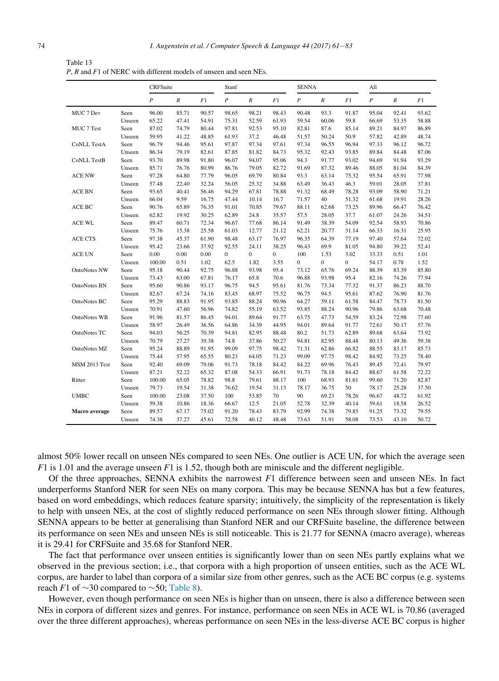<span id="page-13-0"></span>

| Table 13                                                          |
|-------------------------------------------------------------------|
| P, R and F1 of NERC with different models of unseen and seen NEs. |

|                      |        | CRFSuite         |                  |       | Stanf          |                  |                | <b>SENNA</b>     |                  |              | All              |                  |       |
|----------------------|--------|------------------|------------------|-------|----------------|------------------|----------------|------------------|------------------|--------------|------------------|------------------|-------|
|                      |        | $\boldsymbol{P}$ | $\boldsymbol{R}$ | F1    | P              | $\boldsymbol{R}$ | F1             | $\boldsymbol{P}$ | $\boldsymbol{R}$ | F1           | $\boldsymbol{P}$ | $\boldsymbol{R}$ | F1    |
| MUC 7 Dev            | Seen   | 96.00            | 85.71            | 90.57 | 98.65          | 98.21            | 98.43          | 90.48            | 93.3             | 91.87        | 95.04            | 92.41            | 93.62 |
|                      | Unseen | 65.22            | 47.41            | 54.91 | 75.31          | 52.59            | 61.93          | 59.54            | 60.06            | 59.8         | 66.69            | 53.35            | 58.88 |
| MUC 7 Test           | Seen   | 87.02            | 74.79            | 80.44 | 97.81          | 92.53            | 95.10          | 82.81            | 87.6             | 85.14        | 89.21            | 84.97            | 86.89 |
|                      | Unseen | 59.95            | 41.22            | 48.85 | 61.93          | 37.2             | 46.48          | 51.57            | 50.24            | 50.9         | 57.82            | 42.89            | 48.74 |
| <b>CoNLL TestA</b>   | Seen   | 96.79            | 94.46            | 95.61 | 97.87          | 97.34            | 97.61          | 97.34            | 96.55            | 96.94        | 97.33            | 96.12            | 96.72 |
|                      | Unseen | 86.34            | 79.19            | 82.61 | 87.85          | 81.82            | 84.73          | 95.32            | 92.43            | 93.85        | 89.84            | 84.48            | 87.06 |
| <b>CoNLL TestB</b>   | Seen   | 93.70            | 89.98            | 91.80 | 96.07          | 94.07            | 95.06          | 94.3             | 91.77            | 93.02        | 94.69            | 91.94            | 93.29 |
|                      | Unseen | 85.71            | 76.76            | 80.99 | 86.76          | 79.05            | 82.72          | 91.69            | 87.32            | 89.46        | 88.05            | 81.04            | 84.39 |
| ACE NW               | Seen   | 97.28            | 64.80            | 77.79 | 96.05          | 69.79            | 80.84          | 93.3             | 63.14            | 75.32        | 95.54            | 65.91            | 77.98 |
|                      | Unseen | 57.48            | 22.40            | 32.24 | 56.05          | 25.32            | 34.88          | 63.49            | 36.43            | 46.3         | 59.01            | 28.05            | 37.81 |
| ACE BN               | Seen   | 93.65            | 40.41            | 56.46 | 94.29          | 67.81            | 78.88          | 91.32            | 68.49            | 78.28        | 93.09            | 58.90            | 71.21 |
|                      | Unseen | 66.04            | 9.59             | 16.75 | 47.44          | 10.14            | 16.7           | 71.57            | 40               | 51.32        | 61.68            | 19.91            | 28.26 |
| ACE BC               | Seen   | 90.76            | 65.89            | 76.35 | 91.01          | 70.85            | 79.67          | 88.11            | 62.68            | 73.25        | 89.96            | 66.47            | 76.42 |
|                      | Unseen | 62.82            | 19.92            | 30.25 | 62.89          | 24.8             | 35.57          | 57.5             | 28.05            | 37.7         | 61.07            | 24.26            | 34.51 |
| <b>ACE WL</b>        | Seen   | 89.47            | 60.71            | 72.34 | 96.67          | 77.68            | 86.14          | 91.49            | 38.39            | 54.09        | 92.54            | 58.93            | 70.86 |
|                      | Unseen | 75.76            | 15.38            | 25.58 | 61.03          | 12.77            | 21.12          | 62.21            | 20.77            | 31.14        | 66.33            | 16.31            | 25.95 |
| <b>ACE CTS</b>       | Seen   | 97.38            | 45.37            | 61.90 | 98.48          | 63.17            | 76.97          | 96.35            | 64.39            | 77.19        | 97.40            | 57.64            | 72.02 |
|                      | Unseen | 95.42            | 23.66            | 37.92 | 92.55          | 24.11            | 38.25          | 96.43            | 69.9             | 81.05        | 94.80            | 39.22            | 52.41 |
| ACE UN               | Seen   | 0.00             | 0.00             | 0.00  | $\overline{0}$ | $\mathbf{0}$     | $\overline{0}$ | 100              | 1.53             | 3.02         | 33.33            | 0.51             | 1.01  |
|                      | Unseen | 100.00           | 0.51             | 1.02  | 62.5           | 1.82             | 3.55           | $\mathbf{0}$     | $\overline{0}$   | $\mathbf{0}$ | 54.17            | 0.78             | 1.52  |
| <b>OntoNotes NW</b>  | Seen   | 95.18            | 90.44            | 92.75 | 96.88          | 93.98            | 95.4           | 73.12            | 65.76            | 69.24        | 88.39            | 83.39            | 85.80 |
|                      | Unseen | 73.43            | 63.00            | 67.81 | 76.17          | 65.8             | 70.6           | 96.88            | 93.98            | 95.4         | 82.16            | 74.26            | 77.94 |
| <b>OntoNotes BN</b>  | Seen   | 95.60            | 90.86            | 93.17 | 96.75          | 94.5             | 95.61          | 81.76            | 73.34            | 77.32        | 91.37            | 86.23            | 88.70 |
|                      | Unseen | 82.67            | 67.24            | 74.16 | 83.45          | 68.97            | 75.52          | 96.75            | 94.5             | 95.61        | 87.62            | 76.90            | 81.76 |
| OntoNotes BC         | Seen   | 95.29            | 88.83            | 91.95 | 93.85          | 88.24            | 90.96          | 64.27            | 59.11            | 61.58        | 84.47            | 78.73            | 81.50 |
|                      | Unseen | 70.91            | 47.60            | 56.96 | 74.82          | 55.19            | 63.52          | 93.85            | 88.24            | 90.96        | 79.86            | 63.68            | 70.48 |
| <b>OntoNotes WB</b>  | Seen   | 91.96            | 81.57            | 86.45 | 94.01          | 89.64            | 91.77          | 63.75            | 47.73            | 54.59        | 83.24            | 72.98            | 77.60 |
|                      | Unseen | 58.97            | 26.49            | 36.56 | 64.86          | 34.39            | 44.95          | 94.01            | 89.64            | 91.77        | 72.61            | 50.17            | 57.76 |
| <b>OntoNotes TC</b>  | Seen   | 94.03            | 56.25            | 70.39 | 94.81          | 82.95            | 88.48          | 80.2             | 51.73            | 62.89        | 89.68            | 63.64            | 73.92 |
|                      | Unseen | 70.79            | 27.27            | 39.38 | 74.8           | 37.86            | 50.27          | 94.81            | 82.95            | 88.48        | 80.13            | 49.36            | 59.38 |
| OntoNotes MZ         | Seen   | 95.24            | 88.89            | 91.95 | 99.09          | 97.75            | 98.42          | 71.31            | 62.86            | 66.82        | 88.55            | 83.17            | 85.73 |
|                      | Unseen | 75.44            | 57.95            | 65.55 | 80.23          | 64.05            | 71.23          | 99.09            | 97.75            | 98.42        | 84.92            | 73.25            | 78.40 |
| MSM 2013 Test        | Seen   | 92.40            | 69.09            | 79.06 | 91.73          | 78.18            | 84.42          | 84.22            | 69.96            | 76.43        | 89.45            | 72.41            | 79.97 |
|                      | Unseen | 87.21            | 52.22            | 65.32 | 87.08          | 54.33            | 66.91          | 91.73            | 78.18            | 84.42        | 88.67            | 61.58            | 72.22 |
| Ritter               | Seen   | 100.00           | 65.05            | 78.82 | 98.8           | 79.61            | 88.17          | 100              | 68.93            | 81.61        | 99.60            | 71.20            | 82.87 |
|                      | Unseen | 79.73            | 19.54            | 31.38 | 76.62          | 19.54            | 31.13          | 78.17            | 36.75            | 50           | 78.17            | 25.28            | 37.50 |
| <b>UMBC</b>          | Seen   | 100.00           | 23.08            | 37.50 | 100            | 53.85            | 70             | 90               | 69.23            | 78.26        | 96.67            | 48.72            | 61.92 |
|                      | Unseen | 59.38            | 10.86            | 18.36 | 66.67          | 12.5             | 21.05          | 52.78            | 32.39            | 40.14        | 59.61            | 18.58            | 26.52 |
| <b>Macro</b> average | Seen   | 89.57            | 67.17            | 75.02 | 91.20          | 78.43            | 83.79          | 92.99            | 74.38            | 79.85        | 91.25            | 73.32            | 79.55 |
|                      | Unseen | 74.38            | 37.27            | 45.61 | 72.58          | 40.12            | 48.48          | 73.63            | 51.91            | 58.08        | 73.53            | 43.10            | 50.72 |

almost 50% lower recall on unseen NEs compared to seen NEs. One outlier is ACE UN, for which the average seen  $F1$  is 1.01 and the average unseen  $F1$  is 1.52, though both are miniscule and the different negligible.

Of the three approaches, SENNA exhibits the narrowest  $F1$  difference between seen and unseen NEs. In fact underperforms Stanford NER for seen NEs on many corpora. This may be because SENNA has but a few features, based on word embeddings, which reduces feature sparsity; intuitively, the simplicity of the representation is likely to help with unseen NEs, at the cost of slightly reduced performance on seen NEs through slower fitting. Although SENNA appears to be better at generalising than Stanford NER and our CRFSuite baseline, the difference between its performance on seen NEs and unseen NEs is still noticeable. This is 21.77 for SENNA (macro average), whereas it is 29.41 for CRFSuite and 35.68 for Stanford NER.

The fact that performance over unseen entities is significantly lower than on seen NEs partly explains what we observed in the previous section; i.e., that corpora with a high proportion of unseen entities, such as the ACE WL corpus, are harder to label than corpora of a similar size from other genres, such as the ACE BC corpus (e.g. systems reach F1 of  $\sim$ 30 compared to  $\sim$ 50; [Table 8\)](#page-8-1).

However, even though performance on seen NEs is higher than on unseen, there is also a difference between seen NEs in corpora of different sizes and genres. For instance, performance on seen NEs in ACE WL is 70.86 (averaged over the three different approaches), whereas performance on seen NEs in the less-diverse ACE BC corpus is higher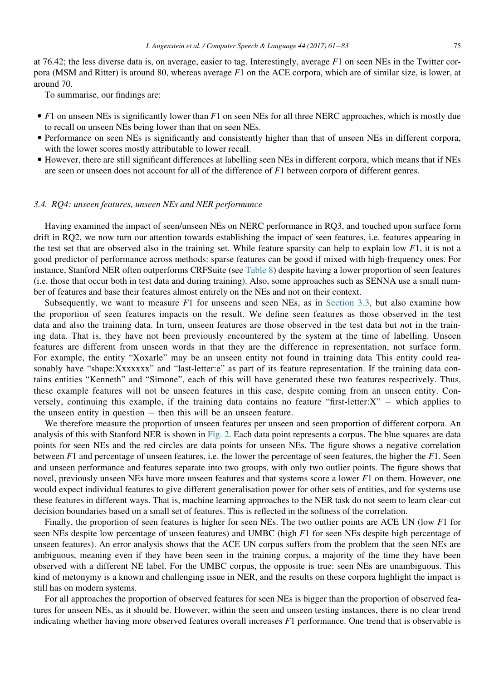at 76.42; the less diverse data is, on average, easier to tag. Interestingly, average F1 on seen NEs in the Twitter corpora (MSM and Ritter) is around 80, whereas average  $F1$  on the ACE corpora, which are of similar size, is lower, at around 70.

To summarise, our findings are:

- $\bullet$  F1 on unseen NEs is significantly lower than F1 on seen NEs for all three NERC approaches, which is mostly due to recall on unseen NEs being lower than that on seen NEs.
- Performance on seen NEs is significantly and consistently higher than that of unseen NEs in different corpora, with the lower scores mostly attributable to lower recall.
- However, there are still significant differences at labelling seen NEs in different corpora, which means that if NEs are seen or unseen does not account for all of the difference of F1 between corpora of different genres.

## 3.4. RQ4: unseen features, unseen NEs and NER performance

Having examined the impact of seen/unseen NEs on NERC performance in RQ3, and touched upon surface form drift in RQ2, we now turn our attention towards establishing the impact of seen features, i.e. features appearing in the test set that are observed also in the training set. While feature sparsity can help to explain low  $F1$ , it is not a good predictor of performance across methods: sparse features can be good if mixed with high-frequency ones. For instance, Stanford NER often outperforms CRFSuite (see [Table 8](#page-8-1)) despite having a lower proportion of seen features (i.e. those that occur both in test data and during training). Also, some approaches such as SENNA use a small number of features and base their features almost entirely on the NEs and not on their context.

Subsequently, we want to measure  $F1$  for unseens and seen NEs, as in [Section 3.3](#page-12-0), but also examine how the proportion of seen features impacts on the result. We define seen features as those observed in the test data and also the training data. In turn, unseen features are those observed in the test data but not in the training data. That is, they have not been previously encountered by the system at the time of labelling. Unseen features are different from unseen words in that they are the difference in representation, not surface form. For example, the entity "Xoxarle" may be an unseen entity not found in training data This entity could reasonably have "shape:Xxxxxxx" and "last-letter:e" as part of its feature representation. If the training data contains entities "Kenneth" and "Simone", each of this will have generated these two features respectively. Thus, these example features will not be unseen features in this case, despite coming from an unseen entity. Conversely, continuing this example, if the training data contains no feature "first-letter: $X'' -$  which applies to the unseen entity in question  $-$  then this will be an unseen feature.

We therefore measure the proportion of unseen features per unseen and seen proportion of different corpora. An analysis of this with Stanford NER is shown in [Fig. 2](#page-15-1). Each data point represents a corpus. The blue squares are data points for seen NEs and the red circles are data points for unseen NEs. The figure shows a negative correlation between F1 and percentage of unseen features, i.e. the lower the percentage of seen features, the higher the F1. Seen and unseen performance and features separate into two groups, with only two outlier points. The figure shows that novel, previously unseen NEs have more unseen features and that systems score a lower F1 on them. However, one would expect individual features to give different generalisation power for other sets of entities, and for systems use these features in different ways. That is, machine learning approaches to the NER task do not seem to learn clear-cut decision boundaries based on a small set of features. This is reflected in the softness of the correlation.

Finally, the proportion of seen features is higher for seen NEs. The two outlier points are ACE UN (low F1 for seen NEs despite low percentage of unseen features) and UMBC (high F1 for seen NEs despite high percentage of unseen features). An error analysis shows that the ACE UN corpus suffers from the problem that the seen NEs are ambiguous, meaning even if they have been seen in the training corpus, a majority of the time they have been observed with a different NE label. For the UMBC corpus, the opposite is true: seen NEs are unambiguous. This kind of metonymy is a known and challenging issue in NER, and the results on these corpora highlight the impact is still has on modern systems.

For all approaches the proportion of observed features for seen NEs is bigger than the proportion of observed features for unseen NEs, as it should be. However, within the seen and unseen testing instances, there is no clear trend indicating whether having more observed features overall increases F1 performance. One trend that is observable is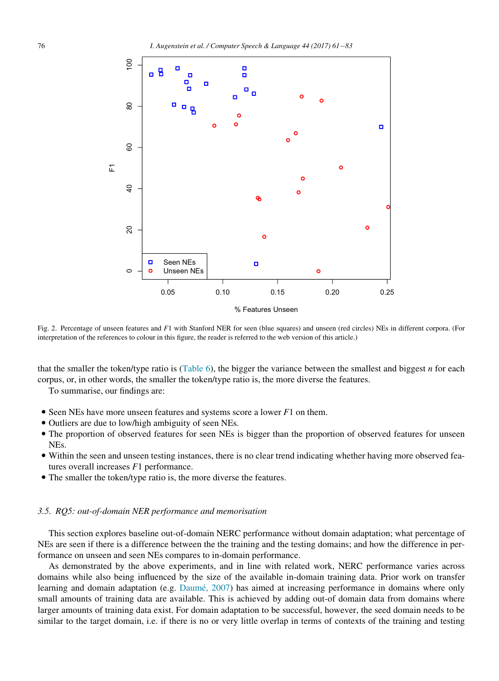<span id="page-15-1"></span>

Fig. 2. Percentage of unseen features and F1 with Stanford NER for seen (blue squares) and unseen (red circles) NEs in different corpora. (For interpretation of the references to colour in this figure, the reader is referred to the web version of this article.)

that the smaller the token/type ratio is [\(Table 6\)](#page-5-1), the bigger the variance between the smallest and biggest  $n$  for each corpus, or, in other words, the smaller the token/type ratio is, the more diverse the features.

To summarise, our findings are:

- $\bullet$  Seen NEs have more unseen features and systems score a lower  $F1$  on them.
- Outliers are due to low/high ambiguity of seen NEs.
- The proportion of observed features for seen NEs is bigger than the proportion of observed features for unseen NEs.
- Within the seen and unseen testing instances, there is no clear trend indicating whether having more observed features overall increases F1 performance.
- The smaller the token/type ratio is, the more diverse the features.

## <span id="page-15-0"></span>3.5. RQ5: out-of-domain NER performance and memorisation

This section explores baseline out-of-domain NERC performance without domain adaptation; what percentage of NEs are seen if there is a difference between the the training and the testing domains; and how the difference in performance on unseen and seen NEs compares to in-domain performance.

As demonstrated by the above experiments, and in line with related work, NERC performance varies across domains while also being influenced by the size of the available in-domain training data. Prior work on transfer learning and domain adaptation (e.g. Daumé, 2007) has aimed at increasing performance in domains where only small amounts of training data are available. This is achieved by adding out-of domain data from domains where larger amounts of training data exist. For domain adaptation to be successful, however, the seed domain needs to be similar to the target domain, i.e. if there is no or very little overlap in terms of contexts of the training and testing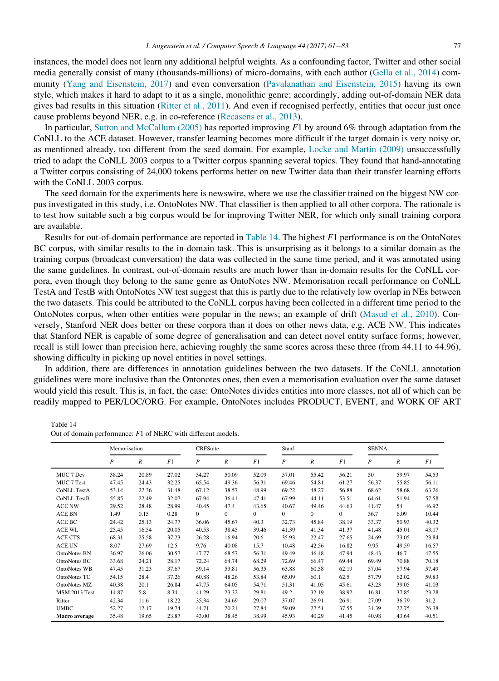instances, the model does not learn any additional helpful weights. As a confounding factor, Twitter and other social media generally consist of many (thousands-millions) of micro-domains, with each author ([Gella et al., 2014](#page-21-17)) community ([Yang and Eisenstein, 2017\)](#page-22-11) and even conversation ([Pavalanathan and Eisenstein, 2015](#page-22-12)) having its own style, which makes it hard to adapt to it as a single, monolithic genre; accordingly, adding out-of-domain NER data gives bad results in this situation [\(Ritter et al., 2011\)](#page-22-5). And even if recognised perfectly, entities that occur just once cause problems beyond NER, e.g. in co-reference ([Recasens et al., 2013\)](#page-22-13).

In particular, [Sutton and McCallum \(2005\)](#page-22-14) has reported improving  $F1$  by around 6% through adaptation from the CoNLL to the ACE dataset. However, transfer learning becomes more difficult if the target domain is very noisy or, as mentioned already, too different from the seed domain. For example, [Locke and Martin \(2009\)](#page-21-18) unsuccessfully tried to adapt the CoNLL 2003 corpus to a Twitter corpus spanning several topics. They found that hand-annotating a Twitter corpus consisting of 24,000 tokens performs better on new Twitter data than their transfer learning efforts with the CoNLL 2003 corpus.

The seed domain for the experiments here is newswire, where we use the classifier trained on the biggest NW corpus investigated in this study, i.e. OntoNotes NW. That classifier is then applied to all other corpora. The rationale is to test how suitable such a big corpus would be for improving Twitter NER, for which only small training corpora are available.

Results for out-of-domain performance are reported in [Table 14](#page-16-0). The highest F1 performance is on the OntoNotes BC corpus, with similar results to the in-domain task. This is unsurprising as it belongs to a similar domain as the training corpus (broadcast conversation) the data was collected in the same time period, and it was annotated using the same guidelines. In contrast, out-of-domain results are much lower than in-domain results for the CoNLL corpora, even though they belong to the same genre as OntoNotes NW. Memorisation recall performance on CoNLL TestA and TestB with OntoNotes NW test suggest that this is partly due to the relatively low overlap in NEs between the two datasets. This could be attributed to the CoNLL corpus having been collected in a different time period to the OntoNotes corpus, when other entities were popular in the news; an example of drift [\(Masud et al., 2010\)](#page-21-19). Conversely, Stanford NER does better on these corpora than it does on other news data, e.g. ACE NW. This indicates that Stanford NER is capable of some degree of generalisation and can detect novel entity surface forms; however, recall is still lower than precision here, achieving roughly the same scores across these three (from 44.11 to 44.96), showing difficulty in picking up novel entities in novel settings.

In addition, there are differences in annotation guidelines between the two datasets. If the CoNLL annotation guidelines were more inclusive than the Ontonotes ones, then even a memorisation evaluation over the same dataset would yield this result. This is, in fact, the case: OntoNotes divides entities into more classes, not all of which can be readily mapped to PER/LOC/ORG. For example, OntoNotes includes PRODUCT, EVENT, and WORK OF ART

<span id="page-16-0"></span>Table 14 Out of domain performance: F1 of NERC with different models.

|                      | Memorisation     |                  |       | <b>CRFSuite</b>  |          |                | Stanf            |                  |                | <b>SENNA</b>     |                  |       |
|----------------------|------------------|------------------|-------|------------------|----------|----------------|------------------|------------------|----------------|------------------|------------------|-------|
|                      | $\boldsymbol{P}$ | $\boldsymbol{R}$ | F1    | $\boldsymbol{P}$ | R        | F1             | $\boldsymbol{P}$ | $\boldsymbol{R}$ | F1             | $\boldsymbol{P}$ | $\boldsymbol{R}$ | F1    |
| MUC 7 Dev            | 38.24            | 20.89            | 27.02 | 54.27            | 50.09    | 52.09          | 57.01            | 55.42            | 56.21          | 50               | 59.97            | 54.53 |
| MUC 7 Test           | 47.45            | 24.43            | 32.25 | 65.54            | 49.36    | 56.31          | 69.46            | 54.81            | 61.27          | 56.37            | 55.85            | 56.11 |
| <b>CoNLL TestA</b>   | 53.14            | 22.36            | 31.48 | 67.12            | 38.57    | 48.99          | 69.22            | 48.27            | 56.88          | 68.62            | 58.68            | 63.26 |
| <b>CoNLL TestB</b>   | 55.85            | 22.49            | 32.07 | 67.94            | 36.41    | 47.41          | 67.99            | 44.11            | 53.51          | 64.61            | 51.94            | 57.58 |
| <b>ACE NW</b>        | 29.52            | 28.48            | 28.99 | 40.45            | 47.4     | 43.65          | 40.67            | 49.46            | 44.63          | 41.47            | 54               | 46.92 |
| <b>ACE BN</b>        | 1.49             | 0.15             | 0.28  | $\overline{0}$   | $\Omega$ | $\overline{0}$ | $\mathbf{0}$     | $\mathbf{0}$     | $\overline{0}$ | 36.7             | 6.09             | 10.44 |
| ACE BC               | 24.42            | 25.13            | 24.77 | 36.06            | 45.67    | 40.3           | 32.73            | 45.84            | 38.19          | 33.37            | 50.93            | 40.32 |
| ACE WL               | 25.45            | 16.54            | 20.05 | 40.53            | 38.45    | 39.46          | 41.39            | 41.34            | 41.37          | 41.48            | 45.01            | 43.17 |
| <b>ACE CTS</b>       | 68.31            | 25.58            | 37.23 | 26.28            | 16.94    | 20.6           | 35.93            | 22.47            | 27.65          | 24.69            | 23.05            | 23.84 |
| <b>ACE UN</b>        | 8.07             | 27.69            | 12.5  | 9.76             | 40.08    | 15.7           | 10.48            | 42.56            | 16.82          | 9.95             | 49.59            | 16.57 |
| OntoNotes BN         | 36.97            | 26.06            | 30.57 | 47.77            | 68.57    | 56.31          | 49.49            | 46.48            | 47.94          | 48.43            | 46.7             | 47.55 |
| OntoNotes BC         | 33.68            | 24.21            | 28.17 | 72.24            | 64.74    | 68.29          | 72.69            | 66.47            | 69.44          | 69.49            | 70.88            | 70.18 |
| OntoNotes WB         | 47.45            | 31.23            | 37.67 | 59.14            | 53.81    | 56.35          | 63.88            | 60.58            | 62.19          | 57.04            | 57.94            | 57.49 |
| <b>OntoNotes TC</b>  | 54.15            | 28.4             | 37.26 | 60.88            | 48.26    | 53.84          | 65.09            | 60.1             | 62.5           | 57.79            | 62.02            | 59.83 |
| OntoNotes MZ         | 40.38            | 20.1             | 26.84 | 47.75            | 64.05    | 54.71          | 51.31            | 41.05            | 45.61          | 43.23            | 39.05            | 41.03 |
| <b>MSM 2013 Test</b> | 14.87            | 5.8              | 8.34  | 41.29            | 23.32    | 29.81          | 49.2             | 32.19            | 38.92          | 16.81            | 37.85            | 23.28 |
| Ritter               | 42.34            | 11.6             | 18.22 | 35.34            | 24.69    | 29.07          | 37.07            | 26.91            | 26.91          | 27.09            | 36.79            | 31.2  |
| <b>UMBC</b>          | 52.27            | 12.17            | 19.74 | 44.71            | 20.21    | 27.84          | 59.09            | 27.51            | 37.55          | 31.39            | 22.75            | 26.38 |
| Macro average        | 35.48            | 19.65            | 23.87 | 43.00            | 38.45    | 38.99          | 45.93            | 40.29            | 41.45          | 40.98            | 43.64            | 40.51 |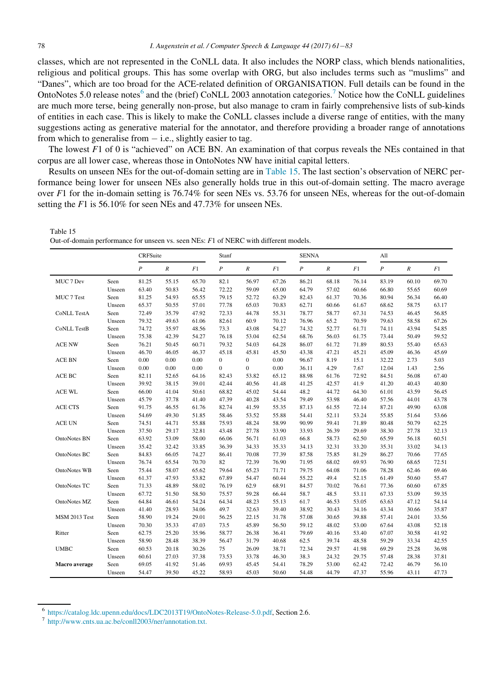classes, which are not represented in the CoNLL data. It also includes the NORP class, which blends nationalities, religious and political groups. This has some overlap with ORG, but also includes terms such as "muslims" and "Danes", which are too broad for the ACE-related definition of ORGANISATION. Full details can be found in the OntoNotes 5.0 release notes<sup>6</sup> and the (brief) CoNLL 2003 annotation categories.<sup>7</sup> Notice how the CoNLL guidelines are much more terse, being generally non-prose, but also manage to cram in fairly comprehensive lists of sub-kinds of entities in each case. This is likely to make the CoNLL classes include a diverse range of entities, with the many suggestions acting as generative material for the annotator, and therefore providing a broader range of annotations from which to generalise from  $-$  i.e., slightly easier to tag.

The lowest F1 of 0 is "achieved" on ACE BN. An examination of that corpus reveals the NEs contained in that corpus are all lower case, whereas those in OntoNotes NW have initial capital letters.

Results on unseen NEs for the out-of-domain setting are in [Table 15](#page-17-0). The last section's observation of NERC performance being lower for unseen NEs also generally holds true in this out-of-domain setting. The macro average over  $F1$  for the in-domain setting is 76.74% for seen NEs vs. 53.76 for unseen NEs, whereas for the out-of-domain setting the F1 is 56.10% for seen NEs and 47.73% for unseen NEs.

<span id="page-17-0"></span>Table 15 Out-of-domain performance for unseen vs. seen NEs: F1 of NERC with different models.

|                     |        | <b>CRFSuite</b>  |                  |       | Stanf            |                  |       | <b>SENNA</b>     |                  |       | A11            |                  |       |
|---------------------|--------|------------------|------------------|-------|------------------|------------------|-------|------------------|------------------|-------|----------------|------------------|-------|
|                     |        | $\boldsymbol{P}$ | $\boldsymbol{R}$ | F1    | $\boldsymbol{P}$ | $\boldsymbol{R}$ | F1    | $\boldsymbol{P}$ | $\boldsymbol{R}$ | F1    | $\overline{P}$ | $\boldsymbol{R}$ | F1    |
| MUC 7 Dev           | Seen   | 81.25            | 55.15            | 65.70 | 82.1             | 56.97            | 67.26 | 86.21            | 68.18            | 76.14 | 83.19          | 60.10            | 69.70 |
|                     | Unseen | 63.40            | 50.83            | 56.42 | 72.22            | 59.09            | 65.00 | 64.79            | 57.02            | 60.66 | 66.80          | 55.65            | 60.69 |
| MUC 7 Test          | Seen   | 81.25            | 54.93            | 65.55 | 79.15            | 52.72            | 63.29 | 82.43            | 61.37            | 70.36 | 80.94          | 56.34            | 66.40 |
|                     | Unseen | 65.37            | 50.55            | 57.01 | 77.78            | 65.03            | 70.83 | 62.71            | 60.66            | 61.67 | 68.62          | 58.75            | 63.17 |
| <b>CoNLL TestA</b>  | Seen   | 72.49            | 35.79            | 47.92 | 72.33            | 44.78            | 55.31 | 78.77            | 58.77            | 67.31 | 74.53          | 46.45            | 56.85 |
|                     | Unseen | 79.32            | 49.63            | 61.06 | 82.61            | 60.9             | 70.12 | 76.96            | 65.2             | 70.59 | 79.63          | 58.58            | 67.26 |
| <b>CoNLL TestB</b>  | Seen   | 74.72            | 35.97            | 48.56 | 73.3             | 43.08            | 54.27 | 74.32            | 52.77            | 61.71 | 74.11          | 43.94            | 54.85 |
|                     | Unseen | 75.38            | 42.39            | 54.27 | 76.18            | 53.04            | 62.54 | 68.76            | 56.03            | 61.75 | 73.44          | 50.49            | 59.52 |
| <b>ACE NW</b>       | Seen   | 76.21            | 50.45            | 60.71 | 79.32            | 54.03            | 64.28 | 86.07            | 61.72            | 71.89 | 80.53          | 55.40            | 65.63 |
|                     | Unseen | 46.70            | 46.05            | 46.37 | 45.18            | 45.81            | 45.50 | 43.38            | 47.21            | 45.21 | 45.09          | 46.36            | 45.69 |
| <b>ACE BN</b>       | Seen   | 0.00             | 0.00             | 0.00  | $\mathbf{0}$     | $\mathbf{0}$     | 0.00  | 96.67            | 8.19             | 15.1  | 32.22          | 2.73             | 5.03  |
|                     | Unseen | 0.00             | 0.00             | 0.00  | $\mathbf{0}$     | $\mathbf{0}$     | 0.00  | 36.11            | 4.29             | 7.67  | 12.04          | 1.43             | 2.56  |
| ACE BC              | Seen   | 82.11            | 52.65            | 64.16 | 82.43            | 53.82            | 65.12 | 88.98            | 61.76            | 72.92 | 84.51          | 56.08            | 67.40 |
|                     | Unseen | 39.92            | 38.15            | 39.01 | 42.44            | 40.56            | 41.48 | 41.25            | 42.57            | 41.9  | 41.20          | 40.43            | 40.80 |
| ACE WL              | Seen   | 66.00            | 41.04            | 50.61 | 68.82            | 45.02            | 54.44 | 48.2             | 44.72            | 64.30 | 61.01          | 43.59            | 56.45 |
|                     | Unseen | 45.79            | 37.78            | 41.40 | 47.39            | 40.28            | 43.54 | 79.49            | 53.98            | 46.40 | 57.56          | 44.01            | 43.78 |
| <b>ACE CTS</b>      | Seen   | 91.75            | 46.55            | 61.76 | 82.74            | 41.59            | 55.35 | 87.13            | 61.55            | 72.14 | 87.21          | 49.90            | 63.08 |
|                     | Unseen | 54.69            | 49.30            | 51.85 | 58.46            | 53.52            | 55.88 | 54.41            | 52.11            | 53.24 | 55.85          | 51.64            | 53.66 |
| <b>ACE UN</b>       | Seen   | 74.51            | 44.71            | 55.88 | 75.93            | 48.24            | 58.99 | 90.99            | 59.41            | 71.89 | 80.48          | 50.79            | 62.25 |
|                     | Unseen | 37.50            | 29.17            | 32.81 | 43.48            | 27.78            | 33.90 | 33.93            | 26.39            | 29.69 | 38.30          | 27.78            | 32.13 |
| <b>OntoNotes BN</b> | Seen   | 63.92            | 53.09            | 58.00 | 66.06            | 56.71            | 61.03 | 66.8             | 58.73            | 62.50 | 65.59          | 56.18            | 60.51 |
|                     | Unseen | 35.42            | 32.42            | 33.85 | 36.39            | 34.33            | 35.33 | 34.13            | 32.31            | 33.20 | 35.31          | 33.02            | 34.13 |
| OntoNotes BC        | Seen   | 84.83            | 66.05            | 74.27 | 86.41            | 70.08            | 77.39 | 87.58            | 75.85            | 81.29 | 86.27          | 70.66            | 77.65 |
|                     | Unseen | 76.74            | 65.54            | 70.70 | 82               | 72.39            | 76.90 | 71.95            | 68.02            | 69.93 | 76.90          | 68.65            | 72.51 |
| OntoNotes WB        | Seen   | 75.44            | 58.07            | 65.62 | 79.64            | 65.23            | 71.71 | 79.75            | 64.08            | 71.06 | 78.28          | 62.46            | 69.46 |
|                     | Unseen | 61.37            | 47.93            | 53.82 | 67.89            | 54.47            | 60.44 | 55.22            | 49.4             | 52.15 | 61.49          | 50.60            | 55.47 |
| OntoNotes TC        | Seen   | 71.33            | 48.89            | 58.02 | 76.19            | 62.9             | 68.91 | 84.57            | 70.02            | 76.61 | 77.36          | 60.60            | 67.85 |
|                     | Unseen | 67.72            | 51.50            | 58.50 | 75.57            | 59.28            | 66.44 | 58.7             | 48.5             | 53.11 | 67.33          | 53.09            | 59.35 |
| OntoNotes MZ        | Seen   | 64.84            | 46.61            | 54.24 | 64.34            | 48.23            | 55.13 | 61.7             | 46.53            | 53.05 | 63.63          | 47.12            | 54.14 |
|                     | Unseen | 41.40            | 28.93            | 34.06 | 49.7             | 32.63            | 39.40 | 38.92            | 30.43            | 34.16 | 43.34          | 30.66            | 35.87 |
| MSM 2013 Test       | Seen   | 58.90            | 19.24            | 29.01 | 56.25            | 22.15            | 31.78 | 57.08            | 30.65            | 39.88 | 57.41          | 24.01            | 33.56 |
|                     | Unseen | 70.30            | 35.33            | 47.03 | 73.5             | 45.89            | 56.50 | 59.12            | 48.02            | 53.00 | 67.64          | 43.08            | 52.18 |
| Ritter              | Seen   | 62.75            | 25.20            | 35.96 | 58.77            | 26.38            | 36.41 | 79.69            | 40.16            | 53.40 | 67.07          | 30.58            | 41.92 |
|                     | Unseen | 58.90            | 28.48            | 38.39 | 56.47            | 31.79            | 40.68 | 62.5             | 39.74            | 48.58 | 59.29          | 33.34            | 42.55 |
| <b>UMBC</b>         | Seen   | 60.53            | 20.18            | 30.26 | 75               | 26.09            | 38.71 | 72.34            | 29.57            | 41.98 | 69.29          | 25.28            | 36.98 |
|                     | Unseen | 60.61            | 27.03            | 37.38 | 73.53            | 33.78            | 46.30 | 38.3             | 24.32            | 29.75 | 57.48          | 28.38            | 37.81 |
| Macro average       | Seen   | 69.05            | 41.92            | 51.46 | 69.93            | 45.45            | 54.41 | 78.29            | 53.00            | 62.42 | 72.42          | 46.79            | 56.10 |
|                     | Unseen | 54.47            | 39.50            | 45.22 | 58.93            | 45.03            | 50.60 | 54.48            | 44.79            | 47.37 | 55.96          | 43.11            | 47.73 |

<sup>6</sup> <https://catalog.ldc.upenn.edu/docs/LDC2013T19/OntoNotes-Release-5.0.pdf>, Section 2.6. <sup>7</sup> [http://www.cnts.ua.ac.be/conll2003/ner/annotation.txt.](http://www.cnts.ua.ac.be/conll2003/ner/annotation.txt)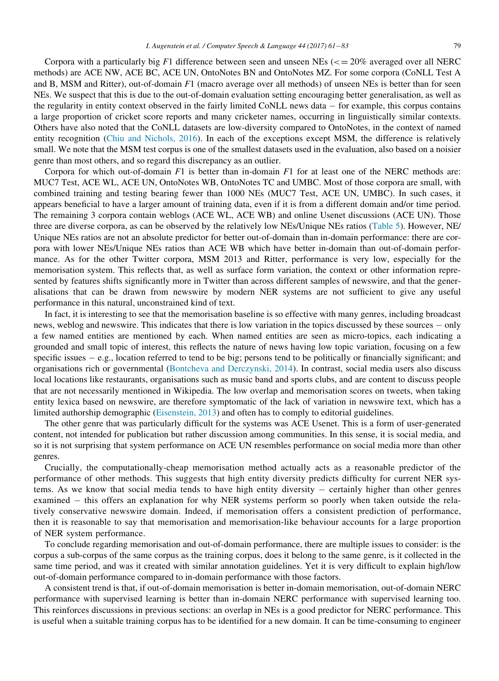Corpora with a particularly big F1 difference between seen and unseen NEs ( $\epsilon$  = 20% averaged over all NERC methods) are ACE NW, ACE BC, ACE UN, OntoNotes BN and OntoNotes MZ. For some corpora (CoNLL Test A and B, MSM and Ritter), out-of-domain  $F1$  (macro average over all methods) of unseen NEs is better than for seen NEs. We suspect that this is due to the out-of-domain evaluation setting encouraging better generalisation, as well as the regularity in entity context observed in the fairly limited CoNLL news data  $-$  for example, this corpus contains a large proportion of cricket score reports and many cricketer names, occurring in linguistically similar contexts. Others have also noted that the CoNLL datasets are low-diversity compared to OntoNotes, in the context of named entity recognition [\(Chiu and Nichols, 2016](#page-20-7)). In each of the exceptions except MSM, the difference is relatively small. We note that the MSM test corpus is one of the smallest datasets used in the evaluation, also based on a noisier genre than most others, and so regard this discrepancy as an outlier.

Corpora for which out-of-domain  $F1$  is better than in-domain  $F1$  for at least one of the NERC methods are: MUC7 Test, ACE WL, ACE UN, OntoNotes WB, OntoNotes TC and UMBC. Most of those corpora are small, with combined training and testing bearing fewer than 1000 NEs (MUC7 Test, ACE UN, UMBC). In such cases, it appears beneficial to have a larger amount of training data, even if it is from a different domain and/or time period. The remaining 3 corpora contain weblogs (ACE WL, ACE WB) and online Usenet discussions (ACE UN). Those three are diverse corpora, as can be observed by the relatively low NEs/Unique NEs ratios [\(Table 5\)](#page-5-0). However, NE/ Unique NEs ratios are not an absolute predictor for better out-of-domain than in-domain performance: there are corpora with lower NEs/Unique NEs ratios than ACE WB which have better in-domain than out-of-domain performance. As for the other Twitter corpora, MSM 2013 and Ritter, performance is very low, especially for the memorisation system. This reflects that, as well as surface form variation, the context or other information represented by features shifts significantly more in Twitter than across different samples of newswire, and that the generalisations that can be drawn from newswire by modern NER systems are not sufficient to give any useful performance in this natural, unconstrained kind of text.

In fact, it is interesting to see that the memorisation baseline is so effective with many genres, including broadcast news, weblog and newswire. This indicates that there is low variation in the topics discussed by these sources – only a few named entities are mentioned by each. When named entities are seen as micro-topics, each indicating a grounded and small topic of interest, this reflects the nature of news having low topic variation, focusing on a few specific issues  $-e.g.,$  location referred to tend to be big; persons tend to be politically or financially significant; and organisations rich or governmental ([Bontcheva and Derczynski, 2014\)](#page-20-8). In contrast, social media users also discuss local locations like restaurants, organisations such as music band and sports clubs, and are content to discuss people that are not necessarily mentioned in Wikipedia. The low overlap and memorisation scores on tweets, when taking entity lexica based on newswire, are therefore symptomatic of the lack of variation in newswire text, which has a limited authorship demographic [\(Eisenstein, 2013](#page-21-20)) and often has to comply to editorial guidelines.

The other genre that was particularly difficult for the systems was ACE Usenet. This is a form of user-generated content, not intended for publication but rather discussion among communities. In this sense, it is social media, and so it is not surprising that system performance on ACE UN resembles performance on social media more than other genres.

Crucially, the computationally-cheap memorisation method actually acts as a reasonable predictor of the performance of other methods. This suggests that high entity diversity predicts difficulty for current NER systems. As we know that social media tends to have high entity diversity - certainly higher than other genres examined – this offers an explanation for why NER systems perform so poorly when taken outside the relatively conservative newswire domain. Indeed, if memorisation offers a consistent prediction of performance, then it is reasonable to say that memorisation and memorisation-like behaviour accounts for a large proportion of NER system performance.

To conclude regarding memorisation and out-of-domain performance, there are multiple issues to consider: is the corpus a sub-corpus of the same corpus as the training corpus, does it belong to the same genre, is it collected in the same time period, and was it created with similar annotation guidelines. Yet it is very difficult to explain high/low out-of-domain performance compared to in-domain performance with those factors.

A consistent trend is that, if out-of-domain memorisation is better in-domain memorisation, out-of-domain NERC performance with supervised learning is better than in-domain NERC performance with supervised learning too. This reinforces discussions in previous sections: an overlap in NEs is a good predictor for NERC performance. This is useful when a suitable training corpus has to be identified for a new domain. It can be time-consuming to engineer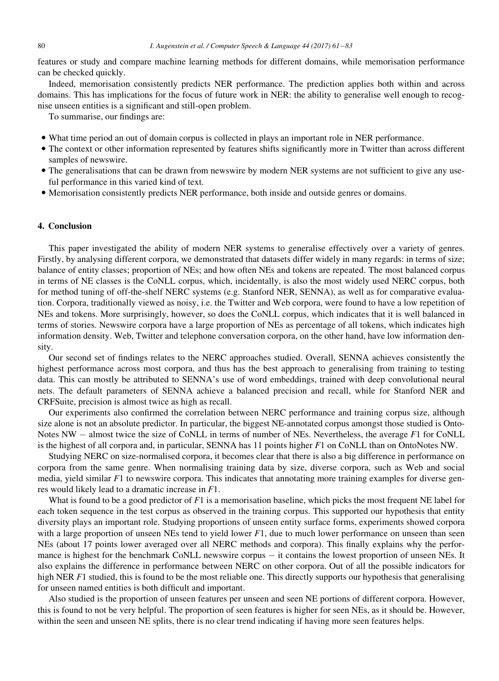features or study and compare machine learning methods for different domains, while memorisation performance can be checked quickly.

Indeed, memorisation consistently predicts NER performance. The prediction applies both within and across domains. This has implications for the focus of future work in NER: the ability to generalise well enough to recognise unseen entities is a significant and still-open problem.

To summarise, our findings are:

- What time period an out of domain corpus is collected in plays an important role in NER performance.
- The context or other information represented by features shifts significantly more in Twitter than across different samples of newswire.
- The generalisations that can be drawn from newswire by modern NER systems are not sufficient to give any useful performance in this varied kind of text.
- Memorisation consistently predicts NER performance, both inside and outside genres or domains.

## 4. Conclusion

This paper investigated the ability of modern NER systems to generalise effectively over a variety of genres. Firstly, by analysing different corpora, we demonstrated that datasets differ widely in many regards: in terms of size; balance of entity classes; proportion of NEs; and how often NEs and tokens are repeated. The most balanced corpus in terms of NE classes is the CoNLL corpus, which, incidentally, is also the most widely used NERC corpus, both for method tuning of off-the-shelf NERC systems (e.g. Stanford NER, SENNA), as well as for comparative evaluation. Corpora, traditionally viewed as noisy, i.e. the Twitter and Web corpora, were found to have a low repetition of NEs and tokens. More surprisingly, however, so does the CoNLL corpus, which indicates that it is well balanced in terms of stories. Newswire corpora have a large proportion of NEs as percentage of all tokens, which indicates high information density. Web, Twitter and telephone conversation corpora, on the other hand, have low information density.

Our second set of findings relates to the NERC approaches studied. Overall, SENNA achieves consistently the highest performance across most corpora, and thus has the best approach to generalising from training to testing data. This can mostly be attributed to SENNA's use of word embeddings, trained with deep convolutional neural nets. The default parameters of SENNA achieve a balanced precision and recall, while for Stanford NER and CRFSuite, precision is almost twice as high as recall.

Our experiments also confirmed the correlation between NERC performance and training corpus size, although size alone is not an absolute predictor. In particular, the biggest NE-annotated corpus amongst those studied is Onto-Notes  $NW -$  almost twice the size of CoNLL in terms of number of NEs. Nevertheless, the average  $F1$  for CoNLL is the highest of all corpora and, in particular, SENNA has 11 points higher F1 on CoNLL than on OntoNotes NW.

Studying NERC on size-normalised corpora, it becomes clear that there is also a big difference in performance on corpora from the same genre. When normalising training data by size, diverse corpora, such as Web and social media, yield similar  $F1$  to newswire corpora. This indicates that annotating more training examples for diverse genres would likely lead to a dramatic increase in F1.

What is found to be a good predictor of F1 is a memorisation baseline, which picks the most frequent NE label for each token sequence in the test corpus as observed in the training corpus. This supported our hypothesis that entity diversity plays an important role. Studying proportions of unseen entity surface forms, experiments showed corpora with a large proportion of unseen NEs tend to yield lower  $F1$ , due to much lower performance on unseen than seen NEs (about 17 points lower averaged over all NERC methods and corpora). This finally explains why the performance is highest for the benchmark CoNLL newswire corpus – it contains the lowest proportion of unseen NEs. It also explains the difference in performance between NERC on other corpora. Out of all the possible indicators for high NER  $F1$  studied, this is found to be the most reliable one. This directly supports our hypothesis that generalising for unseen named entities is both difficult and important.

Also studied is the proportion of unseen features per unseen and seen NE portions of different corpora. However, this is found to not be very helpful. The proportion of seen features is higher for seen NEs, as it should be. However, within the seen and unseen NE splits, there is no clear trend indicating if having more seen features helps.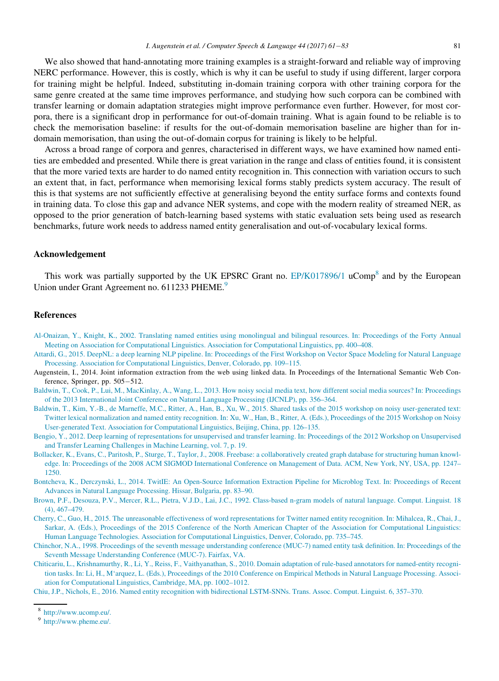We also showed that hand-annotating more training examples is a straight-forward and reliable way of improving NERC performance. However, this is costly, which is why it can be useful to study if using different, larger corpora for training might be helpful. Indeed, substituting in-domain training corpora with other training corpora for the same genre created at the same time improves performance, and studying how such corpora can be combined with transfer learning or domain adaptation strategies might improve performance even further. However, for most corpora, there is a significant drop in performance for out-of-domain training. What is again found to be reliable is to check the memorisation baseline: if results for the out-of-domain memorisation baseline are higher than for indomain memorisation, than using the out-of-domain corpus for training is likely to be helpful.

Across a broad range of corpora and genres, characterised in different ways, we have examined how named entities are embedded and presented. While there is great variation in the range and class of entities found, it is consistent that the more varied texts are harder to do named entity recognition in. This connection with variation occurs to such an extent that, in fact, performance when memorising lexical forms stably predicts system accuracy. The result of this is that systems are not sufficiently effective at generalising beyond the entity surface forms and contexts found in training data. To close this gap and advance NER systems, and cope with the modern reality of streamed NER, as opposed to the prior generation of batch-learning based systems with static evaluation sets being used as research benchmarks, future work needs to address named entity generalisation and out-of-vocabulary lexical forms.

#### Acknowledgement

<span id="page-20-9"></span>This work was partially supported by the UK EPSRC Grant no.  $E P/K017896/1$  uComp<sup>8</sup> and by the European Union under Grant Agreement no. 611233 PHEME.<sup>9</sup>

### References

- <span id="page-20-0"></span>[Al-Onaizan, Y., Knight, K., 2002. Translating named entities using monolingual and bilingual resources. In: Proceedings of the Forty Annual](http://refhub.elsevier.com/S0885-2308(16)30002-X/sbref0001) [Meeting on Association for Computational Linguistics. Association for Computational Linguistics, pp. 400–408.](http://refhub.elsevier.com/S0885-2308(16)30002-X/sbref0001)
- <span id="page-20-5"></span>[Attardi, G., 2015. DeepNL: a deep learning NLP pipeline. In: Proceedings of the First Workshop on Vector Space Modeling for Natural Language](http://refhub.elsevier.com/S0885-2308(16)30002-X/sbref0002) [Processing. Association for Computational Linguistics, Denver, Colorado, pp. 109–115.](http://refhub.elsevier.com/S0885-2308(16)30002-X/sbref0002)
- Augenstein, I., 2014. Joint information extraction from the web using linked data. In Proceedings of the International Semantic Web Conference, Springer, pp. 505-512.
- [Baldwin, T., Cook, P., Lui, M., MacKinlay, A., Wang, L., 2013. How noisy social media text, how different social media sources? In: Proceedings](http://www.chokkan.org/software/crfsuite/) [of the 2013 International Joint Conference on Natural Language Processing \(IJCNLP\), pp. 356–364.](http://www.chokkan.org/software/crfsuite/)
- <span id="page-20-6"></span>[Baldwin, T., Kim, Y.-B., de Marneffe, M.C., Ritter, A., Han, B., Xu, W., 2015. Shared tasks of the 2015 workshop on noisy user-generated text:](http://refhub.elsevier.com/S0885-2308(16)30002-X/sbref0004) [Twitter lexical normalization and named entity recognition. In: Xu, W., Han, B., Ritter, A. \(Eds.\), Proceedings of the 2015 Workshop on Noisy](http://refhub.elsevier.com/S0885-2308(16)30002-X/sbref0004) [User-generated Text. Association for Computational Linguistics, Beijing, China, pp. 126–135.](http://refhub.elsevier.com/S0885-2308(16)30002-X/sbref0004)
- [Bengio, Y., 2012. Deep learning of representations for unsupervised and transfer learning. In: Proceedings of the 2012 Workshop on Unsupervised](http://refhub.elsevier.com/S0885-2308(16)30002-X/sbref0005) [and Transfer Learning Challenges in Machine Learning, vol. 7, p. 19.](http://refhub.elsevier.com/S0885-2308(16)30002-X/sbref0005)
- <span id="page-20-3"></span>[Bollacker, K., Evans, C., Paritosh, P., Sturge, T., Taylor, J., 2008. Freebase: a collaboratively created graph database for structuring human knowl](http://refhub.elsevier.com/S0885-2308(16)30002-X/sbref0006)[edge. In: Proceedings of the 2008 ACM SIGMOD International Conference on Management of Data. ACM, New York, NY, USA, pp. 1247–](http://refhub.elsevier.com/S0885-2308(16)30002-X/sbref0006) [1250.](http://refhub.elsevier.com/S0885-2308(16)30002-X/sbref0006)
- <span id="page-20-8"></span>[Bontcheva, K., Derczynski, L., 2014. TwitIE: An Open-Source Information Extraction Pipeline for Microblog Text. In: Proceedings of Recent](http://refhub.elsevier.com/S0885-2308(16)30002-X/sbref0002a) [Advances in Natural Language Processing. Hissar, Bulgaria, pp. 83–90.](http://refhub.elsevier.com/S0885-2308(16)30002-X/sbref0002a)
- <span id="page-20-4"></span>[Brown, P.F., Desouza, P.V., Mercer, R.L., Pietra, V.J.D., Lai, J.C., 1992. Class-based n-gram models of natural language. Comput. Linguist. 18](http://refhub.elsevier.com/S0885-2308(16)30002-X/sbref0007) [\(4\), 467–479.](http://refhub.elsevier.com/S0885-2308(16)30002-X/sbref0007)
- <span id="page-20-1"></span>[Cherry, C., Guo, H., 2015. The unreasonable effectiveness of word representations for Twitter named entity recognition. In: Mihalcea, R., Chai, J.,](http://refhub.elsevier.com/S0885-2308(16)30002-X/sbref0008) [Sarkar, A. \(Eds.\), Proceedings of the 2015 Conference of the North American Chapter of the Association for Computational Linguistics:](http://refhub.elsevier.com/S0885-2308(16)30002-X/sbref0008) [Human Language Technologies. Association for Computational Linguistics, Denver, Colorado, pp. 735–745.](http://refhub.elsevier.com/S0885-2308(16)30002-X/sbref0008)
- <span id="page-20-2"></span>[Chinchor, N.A., 1998. Proceedings of the seventh message understanding conference \(MUC-7\) named entity task definition. In: Proceedings of the](http://refhub.elsevier.com/S0885-2308(16)30002-X/sbref0009) [Seventh Message Understanding Conference \(MUC-7\). Fairfax, VA.](http://refhub.elsevier.com/S0885-2308(16)30002-X/sbref0009)
- [Chiticariu, L., Krishnamurthy, R., Li, Y., Reiss, F., Vaithyanathan, S., 2010. Domain adaptation of rule-based annotators for named-entity recogni](http://refhub.elsevier.com/S0885-2308(16)30002-X/sbref0010)[tion tasks. In: Li, H., M'arquez, L. \(Eds.\), Proceedings of the 2010 Conference on Empirical Methods in Natural Language Processing. Associ](http://refhub.elsevier.com/S0885-2308(16)30002-X/sbref0010)[ation for Computational Linguistics, Cambridge, MA, pp. 1002–1012.](http://refhub.elsevier.com/S0885-2308(16)30002-X/sbref0010)
- <span id="page-20-7"></span>[Chiu, J.P., Nichols, E., 2016. Named entity recognition with bidirectional LSTM-SNNs. Trans. Assoc. Comput. Linguist. 6, 357–370.](http://refhub.elsevier.com/S0885-2308(16)30002-X/sbref0011)

<sup>8</sup> [http://www.ucomp.eu/.](http://www.ucomp.eu/)

<sup>9</sup> [http://www.pheme.eu/.](http://www.pheme.eu/)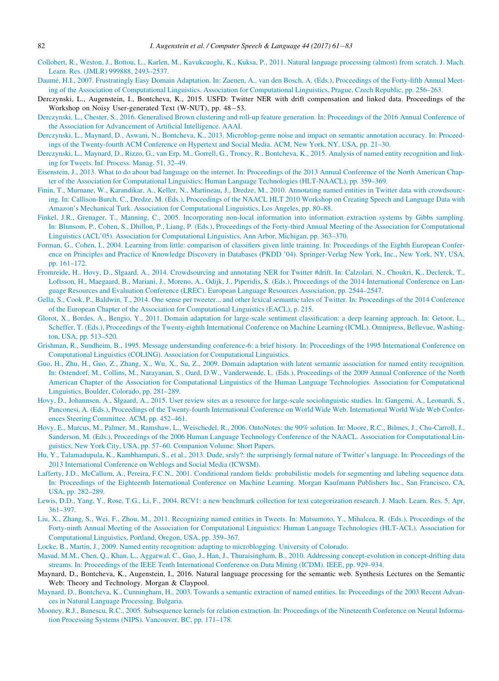- <span id="page-21-11"></span>[Collobert, R., Weston, J., Bottou, L., Karlen, M., Kavukcuoglu, K., Kuksa, P., 2011. Natural language processing \(almost\) from scratch. J. Mach.](http://refhub.elsevier.com/S0885-2308(16)30002-X/sbref0012) [Learn. Res. \(JMLR\) 999888, 2493–2537.](http://refhub.elsevier.com/S0885-2308(16)30002-X/sbref0012)
- <span id="page-21-5"></span>Daum[e, H.I., 2007. Frustratingly Easy Domain Adaptation. In: Zaenen, A., van den Bosch, A. \(Eds.\), Proceedings of the Forty-fifth Annual Meet](http://refhub.elsevier.com/S0885-2308(16)30002-X/sbref0013)[ing of the Association of Computational Linguistics. Association for Computational Linguistics, Prague, Czech Republic, pp. 256–263.](http://refhub.elsevier.com/S0885-2308(16)30002-X/sbref0013)
- Derczynski, L., Augenstein, I., Bontcheva, K., 2015. USFD: Twitter NER with drift compensation and linked data. Proceedings of the Workshop on Noisy User-generated Text (W-NUT), pp. 48-53.
- [Derczynski, L., Chester, S., 2016. Generalised Brown clustering and roll-up feature generation. In: Proceedings of the 2016 Annual Conference of](http://refhub.elsevier.com/S0885-2308(16)30002-X/sbref0014) [the Association for Advancement of Artificial Intelligence. AAAI.](http://refhub.elsevier.com/S0885-2308(16)30002-X/sbref0014)
- <span id="page-21-2"></span>[Derczynski, L., Maynard, D., Aswani, N., Bontcheva, K., 2013. Microblog-genre noise and impact on semantic annotation accuracy. In: Proceed](http://refhub.elsevier.com/S0885-2308(16)30002-X/sbref0015)[ings of the Twenty-fourth ACM Conference on Hypertext and Social Media. ACM, New York, NY, USA, pp. 21–30.](http://refhub.elsevier.com/S0885-2308(16)30002-X/sbref0015)
- <span id="page-21-7"></span>[Derczynski, L., Maynard, D., Rizzo, G., van Erp, M., Gorrell, G., Troncy, R., Bontcheva, K., 2015. Analysis of named entity recognition and link](http://refhub.elsevier.com/S0885-2308(16)30002-X/sbref0016)[ing for Tweets. Inf. Process. Manag. 51, 32–49.](http://refhub.elsevier.com/S0885-2308(16)30002-X/sbref0016)
- <span id="page-21-20"></span>[Eisenstein, J., 2013. What to do about bad language on the internet. In: Proceedings of the 2013 Annual Conference of the North American Chap](http://refhub.elsevier.com/S0885-2308(16)30002-X/sbref0017)[ter of the Association for Computational Linguistics: Human Language Technologies \(HLT-NAACL\), pp. 359–369.](http://refhub.elsevier.com/S0885-2308(16)30002-X/sbref0017)
- <span id="page-21-9"></span>[Finin, T., Murnane, W., Karandikar, A., Keller, N., Martineau, J., Dredze, M., 2010. Annotating named entities in Twitter data with crowdsourc](http://refhub.elsevier.com/S0885-2308(16)30002-X/sbref0018)[ing. In: Callison-Burch, C., Dredze, M. \(Eds.\), Proceedings of the NAACL HLT 2010 Workshop on Creating Speech and Language Data with](http://refhub.elsevier.com/S0885-2308(16)30002-X/sbref0018) [Amazon's Mechanical Turk. Association for Computational Linguistics, Los Angeles, pp. 80–88.](http://refhub.elsevier.com/S0885-2308(16)30002-X/sbref0018)
- <span id="page-21-10"></span>[Finkel, J.R., Grenager, T., Manning, C., 2005. Incorporating non-local information into information extraction systems by Gibbs sampling.](http://refhub.elsevier.com/S0885-2308(16)30002-X/sbref0019) [In: Blunsom, P., Cohen, S., Dhillon, P., Liang, P. \(Eds.\), Proceedings of the Forty-third Annual Meeting of the Association for Computational](http://refhub.elsevier.com/S0885-2308(16)30002-X/sbref0019) [Linguistics \(ACL'05\). Association for Computational Linguistics, Ann Arbor, Michigan, pp. 363–370.](http://refhub.elsevier.com/S0885-2308(16)30002-X/sbref0019)
- <span id="page-21-15"></span>[Forman, G., Cohen, I., 2004. Learning from little: comparison of classifiers given little training. In: Proceedings of the Eighth European Confer](http://refhub.elsevier.com/S0885-2308(16)30002-X/sbref0020)[ence on Principles and Practice of Knowledge Discovery in Databases \(PKDD '04\). Springer-Verlag New York, Inc., New York, NY, USA,](http://refhub.elsevier.com/S0885-2308(16)30002-X/sbref0020) [pp. 161–172.](http://refhub.elsevier.com/S0885-2308(16)30002-X/sbref0020)
- <span id="page-21-16"></span>[Fromreide, H., Hovy, D., Słgaard, A., 2014. Crowdsourcing and annotating NER for Twitter #drift. In: Calzolari, N., Choukri, K., Declerck, T.,](http://refhub.elsevier.com/S0885-2308(16)30002-X/sbref0021) [Loftsson, H., Maegaard, B., Mariani, J., Moreno, A., Odijk, J., Piperidis, S. \(Eds.\), Proceedings of the 2014 International Conference on Lan](http://refhub.elsevier.com/S0885-2308(16)30002-X/sbref0021)[guage Resources and Evaluation Conference \(LREC\). European Language Resources Association, pp. 2544–2547.](http://refhub.elsevier.com/S0885-2308(16)30002-X/sbref0021)
- <span id="page-21-17"></span>[Gella, S., Cook, P., Baldwin, T., 2014. One sense per tweeter... and other lexical semantic tales of Twitter. In: Proceedings of the 2014 Conference](http://refhub.elsevier.com/S0885-2308(16)30002-X/sbref0022) [of the European Chapter of the Association for Computational Linguistics \(EACL\), p. 215.](http://refhub.elsevier.com/S0885-2308(16)30002-X/sbref0022)
- [Glorot, X., Bordes, A., Bengio, Y., 2011. Domain adaptation for large-scale sentiment classification: a deep learning approach. In: Getoor, L.,](http://refhub.elsevier.com/S0885-2308(16)30002-X/sbref0023) [Scheffer, T. \(Eds.\), Proceedings of the Twenty-eighth International Conference on Machine Learning \(ICML\). Omnipress, Bellevue, Washing](http://refhub.elsevier.com/S0885-2308(16)30002-X/sbref0023)[ton, USA, pp. 513–520.](http://refhub.elsevier.com/S0885-2308(16)30002-X/sbref0023)
- <span id="page-21-0"></span>[Grishman, R., Sundheim, B., 1995. Message understanding conference-6: a brief history. In: Proceedings of the 1995 International Conference on](http://refhub.elsevier.com/S0885-2308(16)30002-X/sbref0024) [Computational Linguistics \(COLING\). Association for Computational Linguistics.](http://refhub.elsevier.com/S0885-2308(16)30002-X/sbref0024)
- [Guo, H., Zhu, H., Guo, Z., Zhang, X., Wu, X., Su, Z., 2009. Domain adaptation with latent semantic association for named entity recognition.](http://refhub.elsevier.com/S0885-2308(16)30002-X/sbref0025) [In: Ostendorf, M., Collins, M., Narayanan, S., Oard, D.W., Vanderwende, L. \(Eds.\), Proceedings of the 2009 Annual Conference of the North](http://refhub.elsevier.com/S0885-2308(16)30002-X/sbref0025) [American Chapter of the Association for Computational Linguistics of the Human Language Technologies. Association for Computational](http://refhub.elsevier.com/S0885-2308(16)30002-X/sbref0025) [Linguistics, Boulder, Colorado, pp. 281–289.](http://refhub.elsevier.com/S0885-2308(16)30002-X/sbref0025)
- <span id="page-21-6"></span>[Hovy, D., Johannsen, A., Słgaard, A., 2015. User review sites as a resource for large-scale sociolinguistic studies. In: Gangemi, A., Leonardi, S.,](http://refhub.elsevier.com/S0885-2308(16)30002-X/sbref0026) [Panconesi, A. \(Eds.\), Proceedings of the Twenty-fourth International Conference on World Wide Web. International World Wide Web Confer](http://refhub.elsevier.com/S0885-2308(16)30002-X/sbref0026)[ences Steering Committee. ACM, pp. 452–461.](http://refhub.elsevier.com/S0885-2308(16)30002-X/sbref0026)
- <span id="page-21-8"></span>[Hovy, E., Marcus, M., Palmer, M., Ramshaw, L., Weischedel, R., 2006. OntoNotes: the 90% solution. In: Moore, R.C., Bilmes, J., Chu-Carroll, J.,](http://refhub.elsevier.com/S0885-2308(16)30002-X/sbref0027) [Sanderson, M. \(Eds.\), Proceedings of the 2006 Human Language Technology Conference of the NAACL. Association for Computational Lin](http://refhub.elsevier.com/S0885-2308(16)30002-X/sbref0027)[guistics, New York City, USA, pp. 57–60. Companion Volume: Short Papers.](http://refhub.elsevier.com/S0885-2308(16)30002-X/sbref0027)
- <span id="page-21-12"></span>[Hu, Y., Talamadupula, K., Kambhampati, S., et al., 2013. Dude, srsly?: the surprisingly formal nature of Twitter's language. In: Proceedings of the](http://refhub.elsevier.com/S0885-2308(16)30002-X/sbref0028) [2013 International Conference on Weblogs and Social Media \(ICWSM\).](http://refhub.elsevier.com/S0885-2308(16)30002-X/sbref0028)
- <span id="page-21-13"></span>[Lafferty, J.D., McCallum, A., Pereira, F.C.N., 2001. Conditional random fields: probabilistic models for segmenting and labeling sequence data.](http://refhub.elsevier.com/S0885-2308(16)30002-X/sbref0029) [In: Proceedings of the Eighteenth International Conference on Machine Learning. Morgan Kaufmann Publishers Inc., San Francisco, CA,](http://refhub.elsevier.com/S0885-2308(16)30002-X/sbref0029) [USA, pp. 282–289.](http://refhub.elsevier.com/S0885-2308(16)30002-X/sbref0029)
- <span id="page-21-14"></span>[Lewis, D.D., Yang, Y., Rose, T.G., Li, F., 2004. RCV1: a new benchmark collection for text categorization research. J. Mach. Learn. Res. 5, Apr,](http://refhub.elsevier.com/S0885-2308(16)30002-X/sbref0030) [361–397.](http://refhub.elsevier.com/S0885-2308(16)30002-X/sbref0030)
- [Liu, X., Zhang, S., Wei, F., Zhou, M., 2011. Recognizing named entities in Tweets. In: Matsumoto, Y., Mihalcea, R. \(Eds.\), Proceedings of the](http://refhub.elsevier.com/S0885-2308(16)30002-X/sbref0031) [Forty-ninth Annual Meeting of the Association for Computational Linguistics: Human Language Technologies \(HLT-ACL\). Association for](http://refhub.elsevier.com/S0885-2308(16)30002-X/sbref0031) [Computational Linguistics, Portland, Oregon, USA, pp. 359–367.](http://refhub.elsevier.com/S0885-2308(16)30002-X/sbref0031)
- <span id="page-21-18"></span>[Locke, B., Martin, J., 2009. Named entity recognition: adapting to microblogging. University of Colorado.](http://refhub.elsevier.com/S0885-2308(16)30002-X/sbref0032)
- <span id="page-21-19"></span>[Masud, M.M., Chen, Q., Khan, L., Aggarwal, C., Gao, J., Han, J., Thuraisingham, B., 2010. Addressing concept-evolution in concept-drifting data](http://refhub.elsevier.com/S0885-2308(16)30002-X/sbref0033) [streams. In: Proceedings of the IEEE Tenth International Conference on Data Mining \(ICDM\). IEEE, pp. 929–934.](http://refhub.elsevier.com/S0885-2308(16)30002-X/sbref0033)
- <span id="page-21-1"></span>Maynard, D., Bontcheva, K., Augenstein, I., 2016. Natural language processing for the semantic web. Synthesis Lectures on the Semantic Web: Theory and Technology. Morgan & Claypool.
- <span id="page-21-4"></span>[Maynard, D., Bontcheva, K., Cunningham, H., 2003. Towards a semantic extraction of named entities. In: Proceedings of the 2003 Recent Advan](http://refhub.elsevier.com/S0885-2308(16)30002-X/sbref0034)[ces in Natural Language Processing. Bulgaria.](http://refhub.elsevier.com/S0885-2308(16)30002-X/sbref0034)
- <span id="page-21-3"></span>[Mooney, R.J., Bunescu, R.C., 2005. Subsequence kernels for relation extraction. In: Proceedings of the Nineteenth Conference on Neural Informa](http://refhub.elsevier.com/S0885-2308(16)30002-X/sbref0035)[tion Processing Systems \(NIPS\). Vancouver, BC, pp. 171–178.](http://refhub.elsevier.com/S0885-2308(16)30002-X/sbref0035)